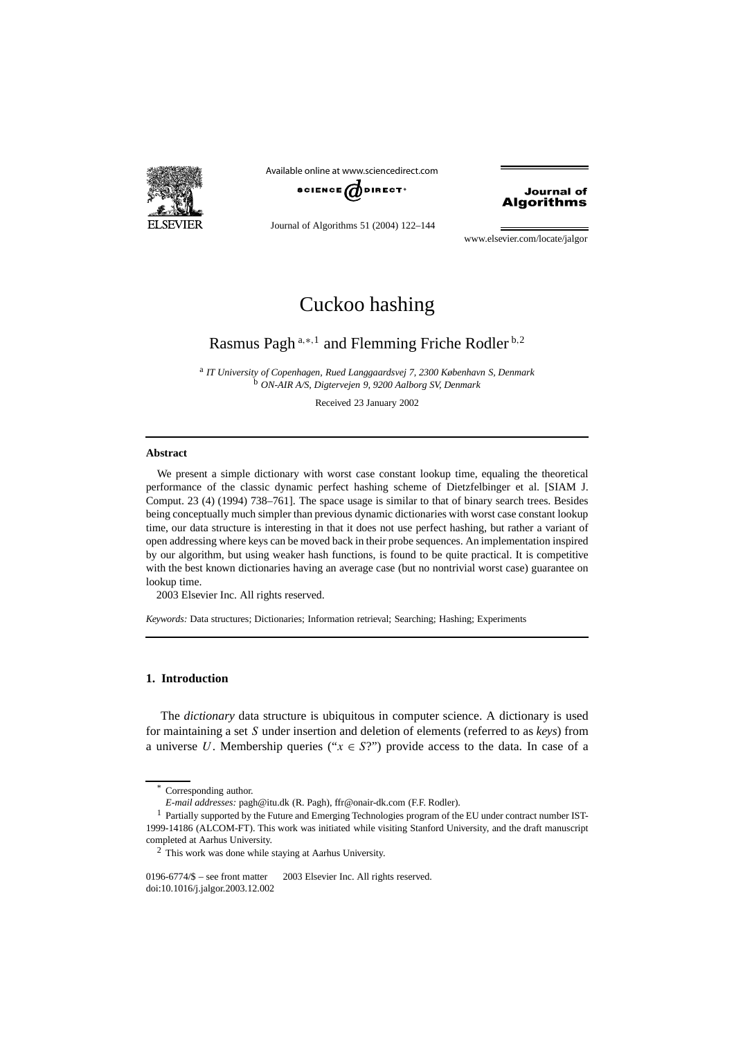

**BCIENCE**  $\boldsymbol{d}$  DIRECT<sup>.</sup> Available online at www.sciencedirect.com

# **Journal of** Algorithms

Journal of Algorithms 51 (2004) 122–144

www.elsevier.com/locate/jalgor

# Cuckoo hashing

# Rasmus Pagh <sup>a</sup>*,*∗*,*<sup>1</sup> and Flemming Friche Rodler <sup>b</sup>*,*<sup>2</sup>

<sup>a</sup> *IT University of Copenhagen, Rued Langgaardsvej 7, 2300 København S, Denmark* <sup>b</sup> *ON-AIR A/S, Digtervejen 9, 9200 Aalborg SV, Denmark*

Received 23 January 2002

#### **Abstract**

We present a simple dictionary with worst case constant lookup time, equaling the theoretical performance of the classic dynamic perfect hashing scheme of Dietzfelbinger et al. [SIAM J. Comput. 23 (4) (1994) 738–761]. The space usage is similar to that of binary search trees. Besides being conceptually much simpler than previous dynamic dictionaries with worst case constant lookup time, our data structure is interesting in that it does not use perfect hashing, but rather a variant of open addressing where keys can be moved back in their probe sequences. An implementation inspired by our algorithm, but using weaker hash functions, is found to be quite practical. It is competitive with the best known dictionaries having an average case (but no nontrivial worst case) guarantee on lookup time.

2003 Elsevier Inc. All rights reserved.

*Keywords:* Data structures; Dictionaries; Information retrieval; Searching; Hashing; Experiments

# **1. Introduction**

The *dictionary* data structure is ubiquitous in computer science. A dictionary is used for maintaining a set *S* under insertion and deletion of elements (referred to as *keys*) from a universe *U*. Membership queries (" $x \in S$ ?") provide access to the data. In case of a

Corresponding author.

*E-mail addresses:* pagh@itu.dk (R. Pagh), ffr@onair-dk.com (F.F. Rodler).

<sup>&</sup>lt;sup>1</sup> Partially supported by the Future and Emerging Technologies program of the EU under contract number IST-1999-14186 (ALCOM-FT). This work was initiated while visiting Stanford University, and the draft manuscript completed at Aarhus University.

<sup>2</sup> This work was done while staying at Aarhus University.

<sup>0196-6774/\$ –</sup> see front matter  $\degree$  2003 Elsevier Inc. All rights reserved. doi:10.1016/j.jalgor.2003.12.002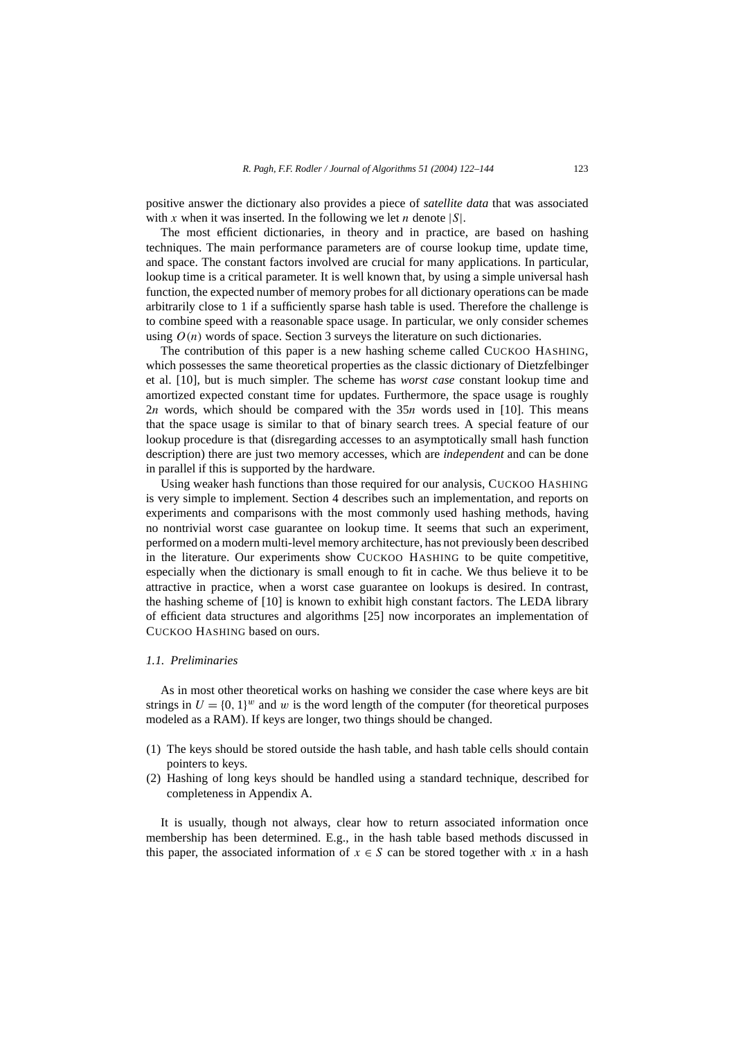positive answer the dictionary also provides a piece of *satellite data* that was associated with *x* when it was inserted. In the following we let *n* denote |*S*|.

The most efficient dictionaries, in theory and in practice, are based on hashing techniques. The main performance parameters are of course lookup time, update time, and space. The constant factors involved are crucial for many applications. In particular, lookup time is a critical parameter. It is well known that, by using a simple universal hash function, the expected number of memory probes for all dictionary operations can be made arbitrarily close to 1 if a sufficiently sparse hash table is used. Therefore the challenge is to combine speed with a reasonable space usage. In particular, we only consider schemes using  $O(n)$  words of space. Section 3 surveys the literature on such dictionaries.

The contribution of this paper is a new hashing scheme called CUCKOO HASHING, which possesses the same theoretical properties as the classic dictionary of Dietzfelbinger et al. [10], but is much simpler. The scheme has *worst case* constant lookup time and amortized expected constant time for updates. Furthermore, the space usage is roughly 2*n* words, which should be compared with the 35*n* words used in [10]. This means that the space usage is similar to that of binary search trees. A special feature of our lookup procedure is that (disregarding accesses to an asymptotically small hash function description) there are just two memory accesses, which are *independent* and can be done in parallel if this is supported by the hardware.

Using weaker hash functions than those required for our analysis, CUCKOO HASHING is very simple to implement. Section 4 describes such an implementation, and reports on experiments and comparisons with the most commonly used hashing methods, having no nontrivial worst case guarantee on lookup time. It seems that such an experiment, performed on a modern multi-level memory architecture, has not previously been described in the literature. Our experiments show CUCKOO HASHING to be quite competitive, especially when the dictionary is small enough to fit in cache. We thus believe it to be attractive in practice, when a worst case guarantee on lookups is desired. In contrast, the hashing scheme of [10] is known to exhibit high constant factors. The LEDA library of efficient data structures and algorithms [25] now incorporates an implementation of CUCKOO HASHING based on ours.

# *1.1. Preliminaries*

As in most other theoretical works on hashing we consider the case where keys are bit strings in  $U = \{0, 1\}^w$  and *w* is the word length of the computer (for theoretical purposes modeled as a RAM). If keys are longer, two things should be changed.

- (1) The keys should be stored outside the hash table, and hash table cells should contain pointers to keys.
- (2) Hashing of long keys should be handled using a standard technique, described for completeness in Appendix A.

It is usually, though not always, clear how to return associated information once membership has been determined. E.g., in the hash table based methods discussed in this paper, the associated information of  $x \in S$  can be stored together with *x* in a hash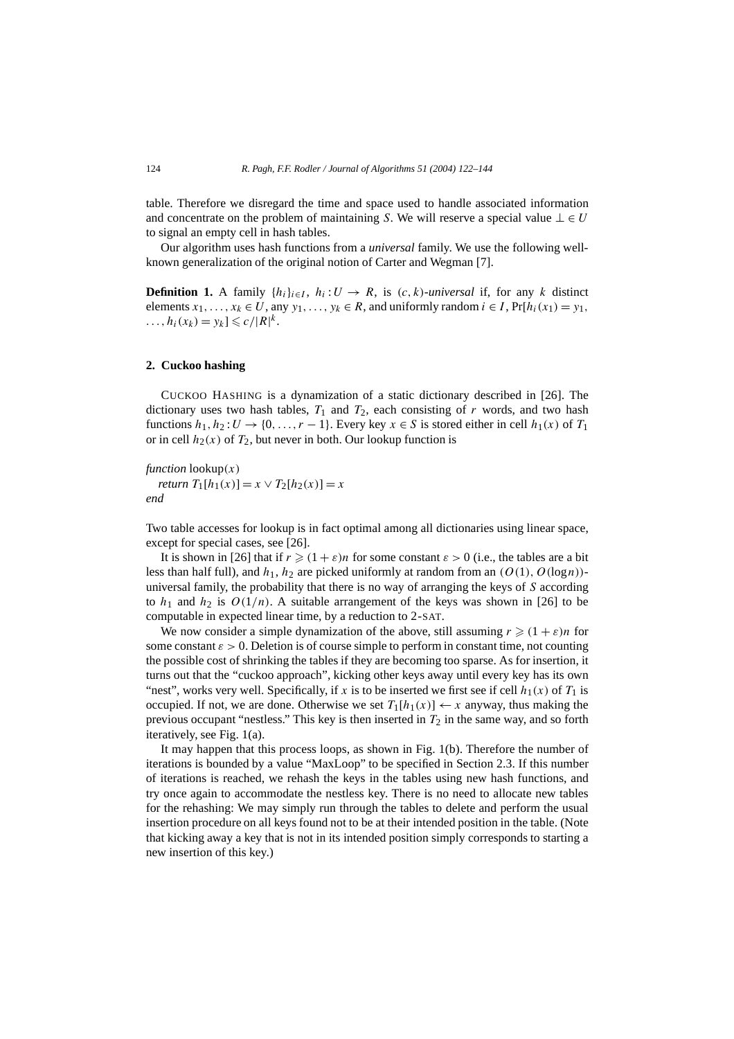table. Therefore we disregard the time and space used to handle associated information and concentrate on the problem of maintaining *S*. We will reserve a special value  $\bot \in U$ to signal an empty cell in hash tables.

Our algorithm uses hash functions from a *universal* family. We use the following wellknown generalization of the original notion of Carter and Wegman [7].

**Definition 1.** A family  $\{h_i\}_{i \in I}$ ,  $h_i: U \to R$ , is  $(c, k)$ *-universal* if, for any *k* distinct elements  $x_1, \ldots, x_k \in U$ , any  $y_1, \ldots, y_k \in R$ , and uniformly random  $i \in I$ ,  $Pr[h_i(x_1) = y_1,$  $\ldots$ ,  $h_i(x_k) = y_k \le c / |R|^k$ .

#### **2. Cuckoo hashing**

CUCKOO HASHING is a dynamization of a static dictionary described in [26]. The dictionary uses two hash tables,  $T_1$  and  $T_2$ , each consisting of  $r$  words, and two hash functions  $h_1, h_2: U \rightarrow \{0, \ldots, r-1\}$ . Every key  $x \in S$  is stored either in cell  $h_1(x)$  of  $T_1$ or in cell  $h_2(x)$  of  $T_2$ , but never in both. Our lookup function is

*function* lookup*(x) return*  $T_1[h_1(x)] = x \vee T_2[h_2(x)] = x$ *end*

Two table accesses for lookup is in fact optimal among all dictionaries using linear space, except for special cases, see [26].

It is shown in [26] that if  $r \geq (1 + \varepsilon)n$  for some constant  $\varepsilon > 0$  (i.e., the tables are a bit less than half full), and  $h_1$ ,  $h_2$  are picked uniformly at random from an  $(O(1), O(\log n))$ universal family, the probability that there is no way of arranging the keys of *S* according to  $h_1$  and  $h_2$  is  $O(1/n)$ . A suitable arrangement of the keys was shown in [26] to be computable in expected linear time, by a reduction to 2-SAT.

We now consider a simple dynamization of the above, still assuming  $r \geq (1 + \varepsilon)n$  for some constant *ε >* 0. Deletion is of course simple to perform in constant time, not counting the possible cost of shrinking the tables if they are becoming too sparse. As for insertion, it turns out that the "cuckoo approach", kicking other keys away until every key has its own "nest", works very well. Specifically, if *x* is to be inserted we first see if cell  $h_1(x)$  of  $T_1$  is occupied. If not, we are done. Otherwise we set  $T_1[h_1(x)] \leftarrow x$  anyway, thus making the previous occupant "nestless." This key is then inserted in  $T_2$  in the same way, and so forth iteratively, see Fig. 1(a).

It may happen that this process loops, as shown in Fig. 1(b). Therefore the number of iterations is bounded by a value "MaxLoop" to be specified in Section 2.3. If this number of iterations is reached, we rehash the keys in the tables using new hash functions, and try once again to accommodate the nestless key. There is no need to allocate new tables for the rehashing: We may simply run through the tables to delete and perform the usual insertion procedure on all keys found not to be at their intended position in the table. (Note that kicking away a key that is not in its intended position simply corresponds to starting a new insertion of this key.)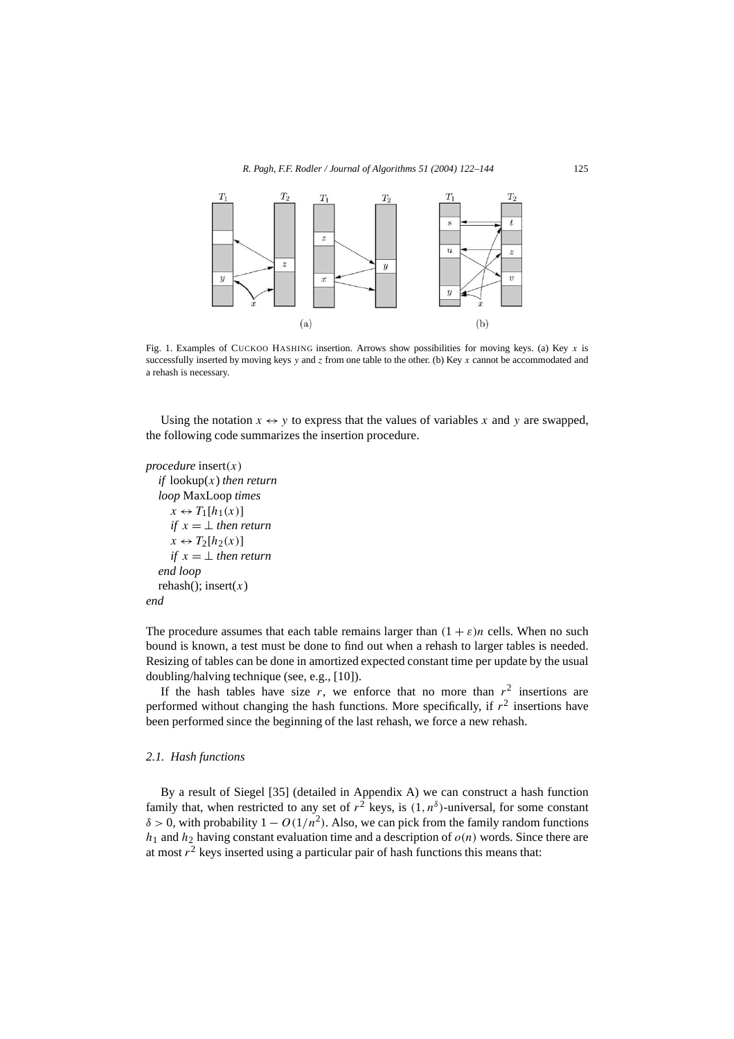

Fig. 1. Examples of CUCKOO HASHING insertion. Arrows show possibilities for moving keys. (a) Key *x* is successfully inserted by moving keys *y* and *z* from one table to the other. (b) Key *x* cannot be accommodated and a rehash is necessary.

Using the notation  $x \leftrightarrow y$  to express that the values of variables x and y are swapped, the following code summarizes the insertion procedure.

*procedure* insert*(x) if* lookup(*x*) *then return loop* MaxLoop *times*  $x \leftrightarrow T_1[h_1(x)]$ *if*  $x = \perp$  *then return*  $x \leftrightarrow T_2[h_2(x)]$ *if*  $x = \perp$  *then return end loop* rehash( $\chi$ ); insert $(x)$ 



The procedure assumes that each table remains larger than  $(1 + \varepsilon)n$  cells. When no such bound is known, a test must be done to find out when a rehash to larger tables is needed. Resizing of tables can be done in amortized expected constant time per update by the usual doubling/halving technique (see, e.g., [10]).

If the hash tables have size  $r$ , we enforce that no more than  $r<sup>2</sup>$  insertions are performed without changing the hash functions. More specifically, if  $r^2$  insertions have been performed since the beginning of the last rehash, we force a new rehash.

#### *2.1. Hash functions*

By a result of Siegel [35] (detailed in Appendix A) we can construct a hash function family that, when restricted to any set of  $r^2$  keys, is  $(1, n^{\delta})$ -universal, for some constant  $\delta$  > 0, with probability  $1 - O(1/n^2)$ . Also, we can pick from the family random functions  $h_1$  and  $h_2$  having constant evaluation time and a description of  $o(n)$  words. Since there are at most  $r^2$  keys inserted using a particular pair of hash functions this means that: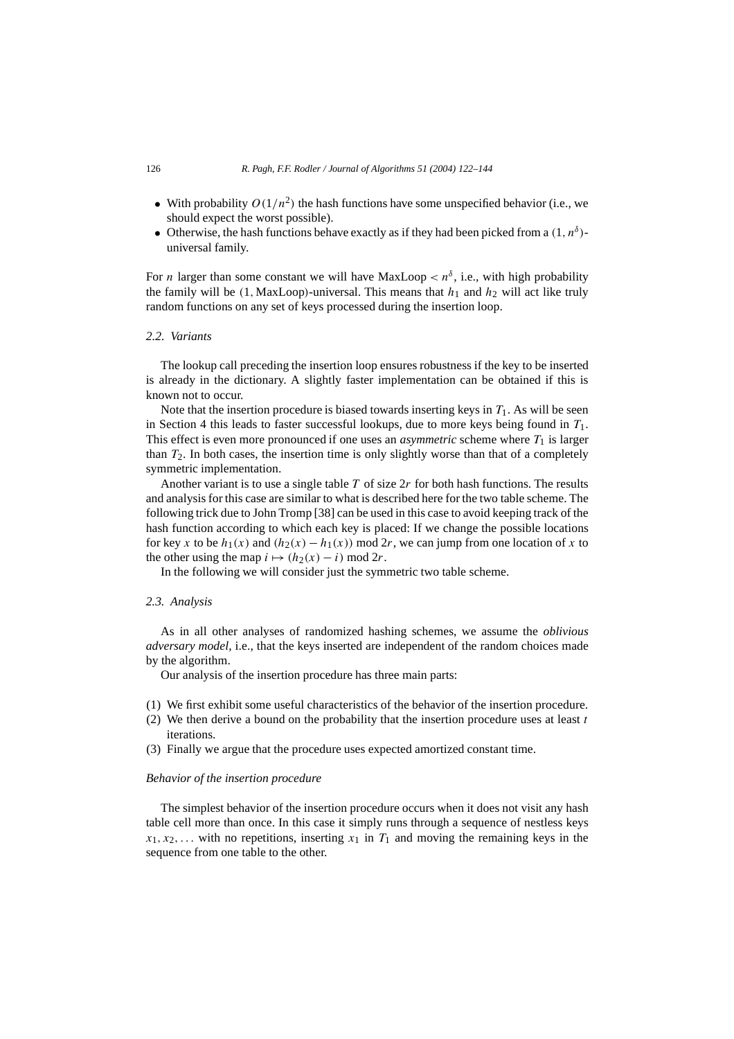- With probability  $O(1/n^2)$  the hash functions have some unspecified behavior (i.e., we should expect the worst possible).
- Otherwise, the hash functions behave exactly as if they had been picked from a  $(1, n^{\delta})$ universal family.

For *n* larger than some constant we will have MaxLoop  $\langle n^{\delta}, i.e., \text{ with high probability} \rangle$ the family will be  $(1, MaxLoop)$ -universal. This means that  $h_1$  and  $h_2$  will act like truly random functions on any set of keys processed during the insertion loop.

# *2.2. Variants*

The lookup call preceding the insertion loop ensures robustness if the key to be inserted is already in the dictionary. A slightly faster implementation can be obtained if this is known not to occur.

Note that the insertion procedure is biased towards inserting keys in  $T_1$ . As will be seen in Section 4 this leads to faster successful lookups, due to more keys being found in *T*1. This effect is even more pronounced if one uses an *asymmetric* scheme where  $T_1$  is larger than  $T_2$ . In both cases, the insertion time is only slightly worse than that of a completely symmetric implementation.

Another variant is to use a single table *T* of size 2*r* for both hash functions. The results and analysis for this case are similar to what is described here for the two table scheme. The following trick due to John Tromp [38] can be used in this case to avoid keeping track of the hash function according to which each key is placed: If we change the possible locations for key *x* to be  $h_1(x)$  and  $(h_2(x) - h_1(x))$  mod 2*r*, we can jump from one location of *x* to the other using the map  $i \mapsto (h_2(x) - i) \text{ mod } 2r$ .

In the following we will consider just the symmetric two table scheme.

#### *2.3. Analysis*

As in all other analyses of randomized hashing schemes, we assume the *oblivious adversary model*, i.e., that the keys inserted are independent of the random choices made by the algorithm.

Our analysis of the insertion procedure has three main parts:

- (1) We first exhibit some useful characteristics of the behavior of the insertion procedure.
- (2) We then derive a bound on the probability that the insertion procedure uses at least *t* iterations.
- (3) Finally we argue that the procedure uses expected amortized constant time.

#### *Behavior of the insertion procedure*

The simplest behavior of the insertion procedure occurs when it does not visit any hash table cell more than once. In this case it simply runs through a sequence of nestless keys  $x_1, x_2, \ldots$  with no repetitions, inserting  $x_1$  in  $T_1$  and moving the remaining keys in the sequence from one table to the other.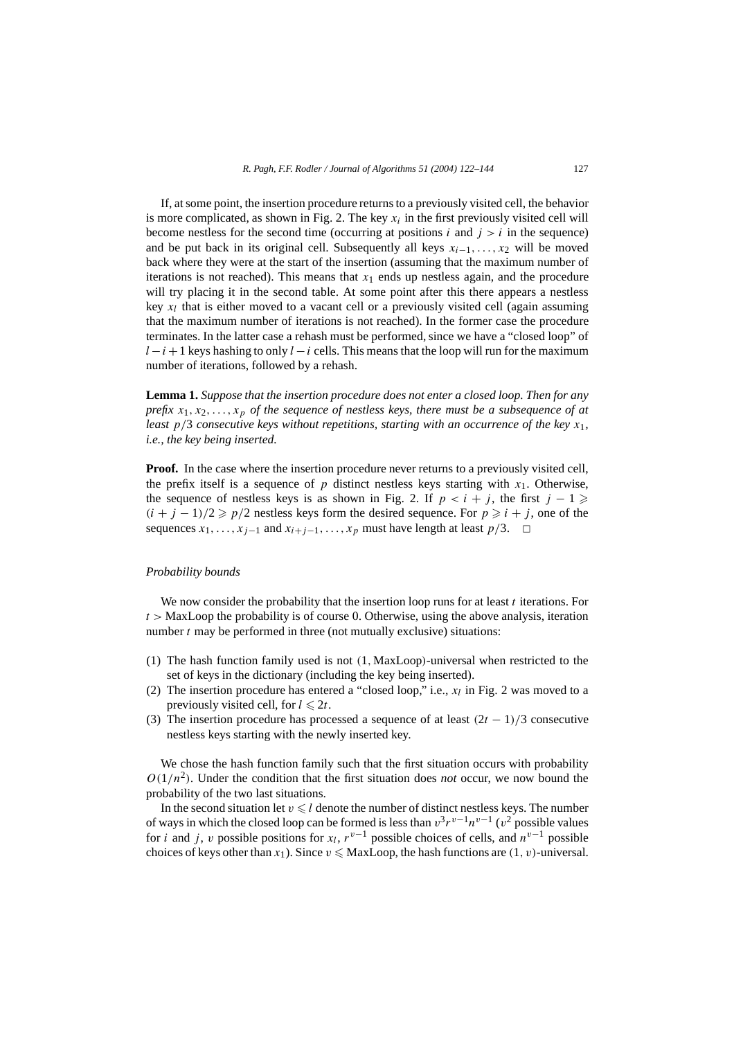If, at some point, the insertion procedure returns to a previously visited cell, the behavior is more complicated, as shown in Fig. 2. The key  $x_i$  in the first previously visited cell will become nestless for the second time (occurring at positions  $i$  and  $j > i$  in the sequence) and be put back in its original cell. Subsequently all keys *xi*<sup>−</sup>1*,...,x*<sup>2</sup> will be moved back where they were at the start of the insertion (assuming that the maximum number of iterations is not reached). This means that  $x_1$  ends up nestless again, and the procedure will try placing it in the second table. At some point after this there appears a nestless key  $x_l$  that is either moved to a vacant cell or a previously visited cell (again assuming that the maximum number of iterations is not reached). In the former case the procedure terminates. In the latter case a rehash must be performed, since we have a "closed loop" of *l* − *i* + 1 keys hashing to only *l* − *i* cells. This means that the loop will run for the maximum number of iterations, followed by a rehash.

**Lemma 1.** *Suppose that the insertion procedure does not enter a closed loop. Then for any prefix*  $x_1, x_2, \ldots, x_p$  *of the sequence of nestless keys, there must be a subsequence of at least p/*3 *consecutive keys without repetitions, starting with an occurrence of the key x*1*, i.e., the key being inserted.*

**Proof.** In the case where the insertion procedure never returns to a previously visited cell, the prefix itself is a sequence of  $p$  distinct nestless keys starting with  $x_1$ . Otherwise, the sequence of nestless keys is as shown in Fig. 2. If  $p < i + j$ , the first  $j - 1 \geq$  $(i + j - 1)/2 \geq p/2$  nestless keys form the desired sequence. For  $p \geq i + j$ , one of the sequences  $x_1, \ldots, x_{j-1}$  and  $x_{i+j-1}, \ldots, x_p$  must have length at least  $p/3$ . **□** 

# *Probability bounds*

We now consider the probability that the insertion loop runs for at least *t* iterations. For *t >* MaxLoop the probability is of course 0. Otherwise, using the above analysis, iteration number *t* may be performed in three (not mutually exclusive) situations:

- (1) The hash function family used is not *(*1*,*MaxLoop*)*-universal when restricted to the set of keys in the dictionary (including the key being inserted).
- (2) The insertion procedure has entered a "closed loop," i.e.,  $x_l$  in Fig. 2 was moved to a previously visited cell, for  $l \leq 2t$ .
- (3) The insertion procedure has processed a sequence of at least *(*2*t* − 1*)/*3 consecutive nestless keys starting with the newly inserted key.

We chose the hash function family such that the first situation occurs with probability  $O(1/n^2)$ . Under the condition that the first situation does *not* occur, we now bound the probability of the two last situations.

In the second situation let  $v \le l$  denote the number of distinct nestless keys. The number of ways in which the closed loop can be formed is less than  $v^3r^{v-1}n^{v-1}$  ( $v^2$  possible values for *i* and *j*, *v* possible positions for *x<sub>l</sub>*,  $r^{v-1}$  possible choices of cells, and  $n^{v-1}$  possible choices of keys other than  $x_1$ ). Since  $v \leq$  MaxLoop, the hash functions are  $(1, v)$ -universal.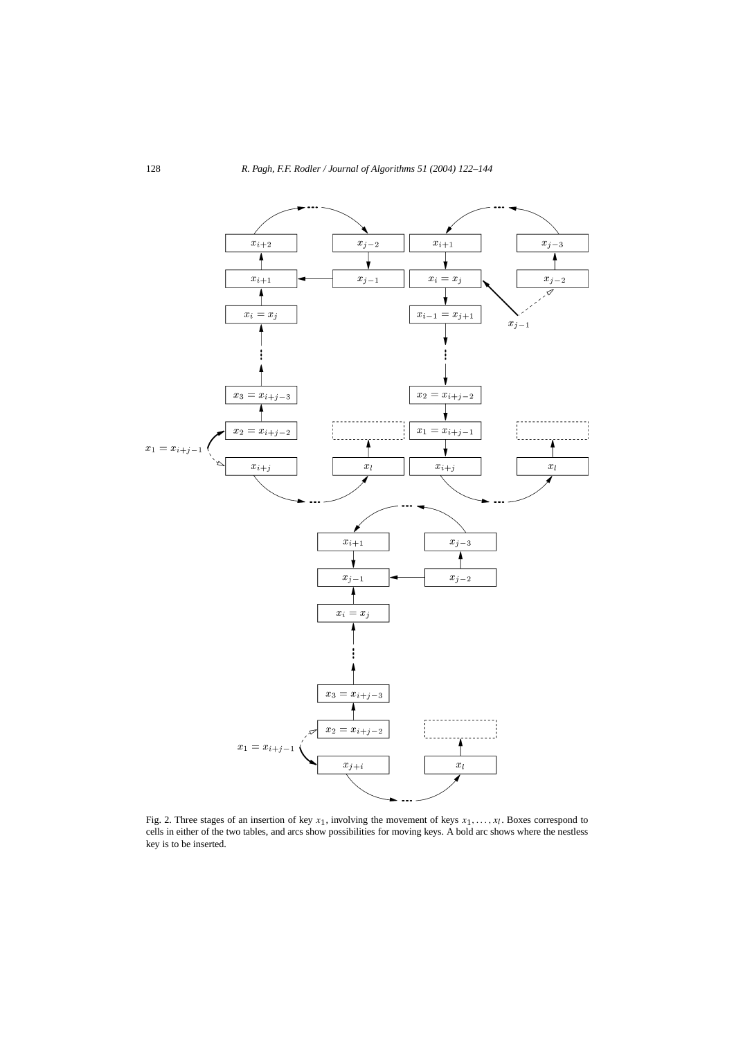

Fig. 2. Three stages of an insertion of key  $x_1$ , involving the movement of keys  $x_1, \ldots, x_l$ . Boxes correspond to cells in either of the two tables, and arcs show possibilities for moving keys. A bold arc shows where the nestless key is to be inserted.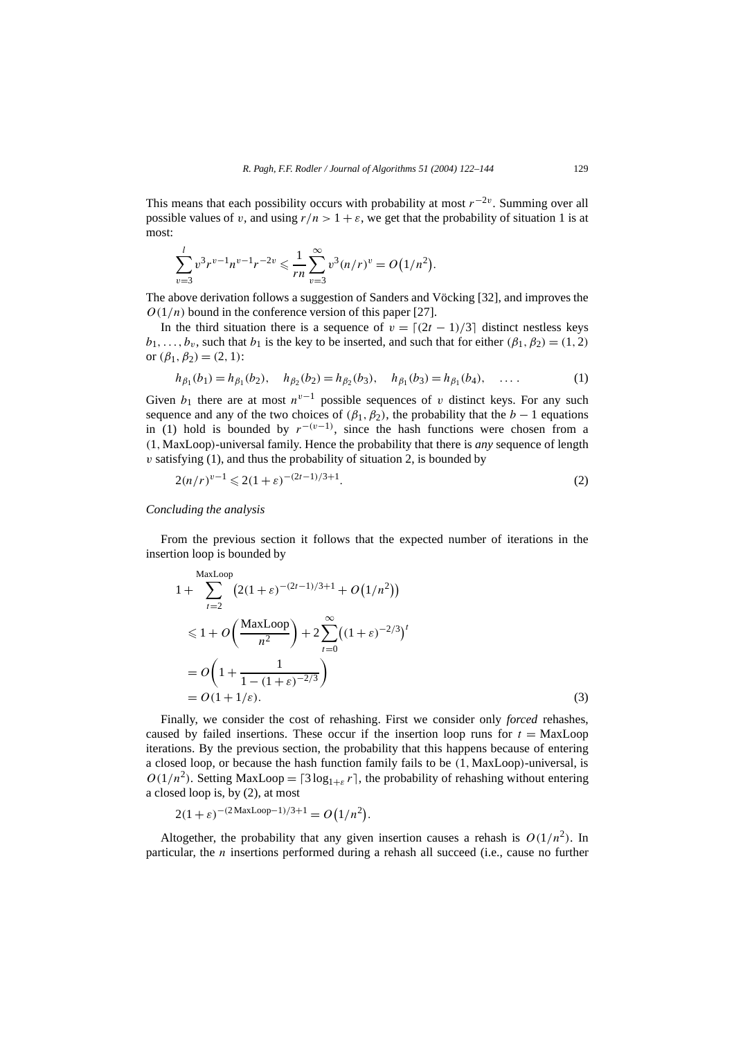This means that each possibility occurs with probability at most  $r^{-2\nu}$ . Summing over all possible values of *v*, and using  $r/n > 1 + \varepsilon$ , we get that the probability of situation 1 is at most:

$$
\sum_{v=3}^{l} v^{3} r^{v-1} n^{v-1} r^{-2v} \leq \frac{1}{rn} \sum_{v=3}^{\infty} v^{3} (n/r)^{v} = O(1/n^{2}).
$$

The above derivation follows a suggestion of Sanders and Vöcking [32], and improves the  $O(1/n)$  bound in the conference version of this paper [27].

In the third situation there is a sequence of  $v = \lfloor (2t - 1)/3 \rfloor$  distinct nestless keys  $b_1, \ldots, b_v$ , such that  $b_1$  is the key to be inserted, and such that for either  $(\beta_1, \beta_2) = (1, 2)$ or  $(\beta_1, \beta_2) = (2, 1)$ :

$$
h_{\beta_1}(b_1) = h_{\beta_1}(b_2), \quad h_{\beta_2}(b_2) = h_{\beta_2}(b_3), \quad h_{\beta_1}(b_3) = h_{\beta_1}(b_4), \quad \dots \tag{1}
$$

Given  $b_1$  there are at most  $n^{v-1}$  possible sequences of *v* distinct keys. For any such sequence and any of the two choices of  $(\beta_1, \beta_2)$ , the probability that the *b* − 1 equations in (1) hold is bounded by  $r^{-(v-1)}$ , since the hash functions were chosen from a *(*1*,*MaxLoop*)*-universal family. Hence the probability that there is *any* sequence of length  $v$  satisfying  $(1)$ , and thus the probability of situation 2, is bounded by

$$
2(n/r)^{v-1} \leq 2(1+\varepsilon)^{-(2t-1)/3+1}.
$$
 (2)

#### *Concluding the analysis*

From the previous section it follows that the expected number of iterations in the insertion loop is bounded by

$$
1 + \sum_{t=2}^{\text{MaxLoop}} (2(1+\varepsilon)^{-(2t-1)/3+1} + O(1/n^2))
$$
  
\n
$$
\leq 1 + O\left(\frac{\text{MaxLoop}}{n^2}\right) + 2\sum_{t=0}^{\infty} ((1+\varepsilon)^{-2/3})^t
$$
  
\n
$$
= O\left(1 + \frac{1}{1 - (1+\varepsilon)^{-2/3}}\right)
$$
  
\n
$$
= O(1 + 1/\varepsilon).
$$
 (3)

Finally, we consider the cost of rehashing. First we consider only *forced* rehashes, caused by failed insertions. These occur if the insertion loop runs for  $t = \text{MaxLoop}$ iterations. By the previous section, the probability that this happens because of entering a closed loop, or because the hash function family fails to be *(*1*,*MaxLoop*)*-universal, is  $O(1/n^2)$ . Setting MaxLoop =  $\lceil 3 \log_{1+\varepsilon} r \rceil$ , the probability of rehashing without entering a closed loop is, by (2), at most

$$
2(1+\varepsilon)^{-(2\text{ MaxLoop}-1)/3+1} = O(1/n^2)
$$

Altogether, the probability that any given insertion causes a rehash is  $O(1/n^2)$ . In particular, the *n* insertions performed during a rehash all succeed (i.e., cause no further

*.*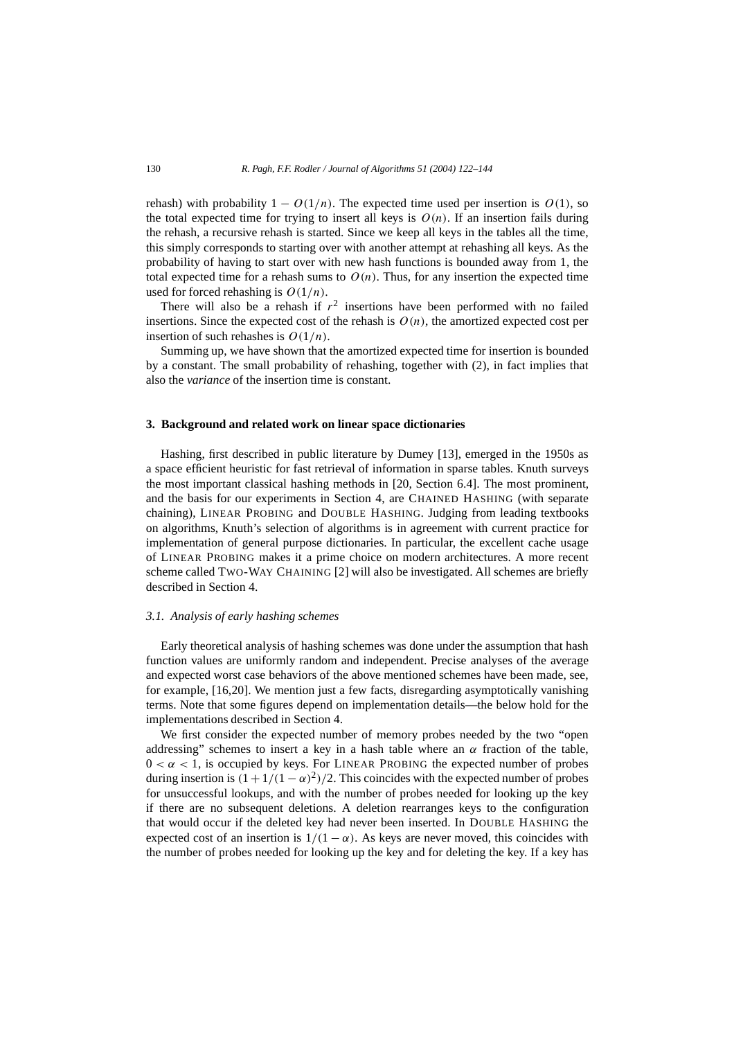rehash) with probability  $1 - O(1/n)$ . The expected time used per insertion is  $O(1)$ , so the total expected time for trying to insert all keys is  $O(n)$ . If an insertion fails during the rehash, a recursive rehash is started. Since we keep all keys in the tables all the time, this simply corresponds to starting over with another attempt at rehashing all keys. As the probability of having to start over with new hash functions is bounded away from 1, the total expected time for a rehash sums to  $O(n)$ . Thus, for any insertion the expected time used for forced rehashing is *O(*1*/n)*.

There will also be a rehash if  $r^2$  insertions have been performed with no failed insertions. Since the expected cost of the rehash is  $O(n)$ , the amortized expected cost per insertion of such rehashes is *O(*1*/n)*.

Summing up, we have shown that the amortized expected time for insertion is bounded by a constant. The small probability of rehashing, together with (2), in fact implies that also the *variance* of the insertion time is constant.

#### **3. Background and related work on linear space dictionaries**

Hashing, first described in public literature by Dumey [13], emerged in the 1950s as a space efficient heuristic for fast retrieval of information in sparse tables. Knuth surveys the most important classical hashing methods in [20, Section 6.4]. The most prominent, and the basis for our experiments in Section 4, are CHAINED HASHING (with separate chaining), LINEAR PROBING and DOUBLE HASHING. Judging from leading textbooks on algorithms, Knuth's selection of algorithms is in agreement with current practice for implementation of general purpose dictionaries. In particular, the excellent cache usage of LINEAR PROBING makes it a prime choice on modern architectures. A more recent scheme called TWO-WAY CHAINING [2] will also be investigated. All schemes are briefly described in Section 4.

# *3.1. Analysis of early hashing schemes*

Early theoretical analysis of hashing schemes was done under the assumption that hash function values are uniformly random and independent. Precise analyses of the average and expected worst case behaviors of the above mentioned schemes have been made, see, for example, [16,20]. We mention just a few facts, disregarding asymptotically vanishing terms. Note that some figures depend on implementation details—the below hold for the implementations described in Section 4.

We first consider the expected number of memory probes needed by the two "open addressing" schemes to insert a key in a hash table where an  $\alpha$  fraction of the table,  $0 < \alpha < 1$ , is occupied by keys. For LINEAR PROBING the expected number of probes during insertion is  $(1 + 1/(1 - \alpha)^2)/2$ . This coincides with the expected number of probes for unsuccessful lookups, and with the number of probes needed for looking up the key if there are no subsequent deletions. A deletion rearranges keys to the configuration that would occur if the deleted key had never been inserted. In DOUBLE HASHING the expected cost of an insertion is  $1/(1 - \alpha)$ . As keys are never moved, this coincides with the number of probes needed for looking up the key and for deleting the key. If a key has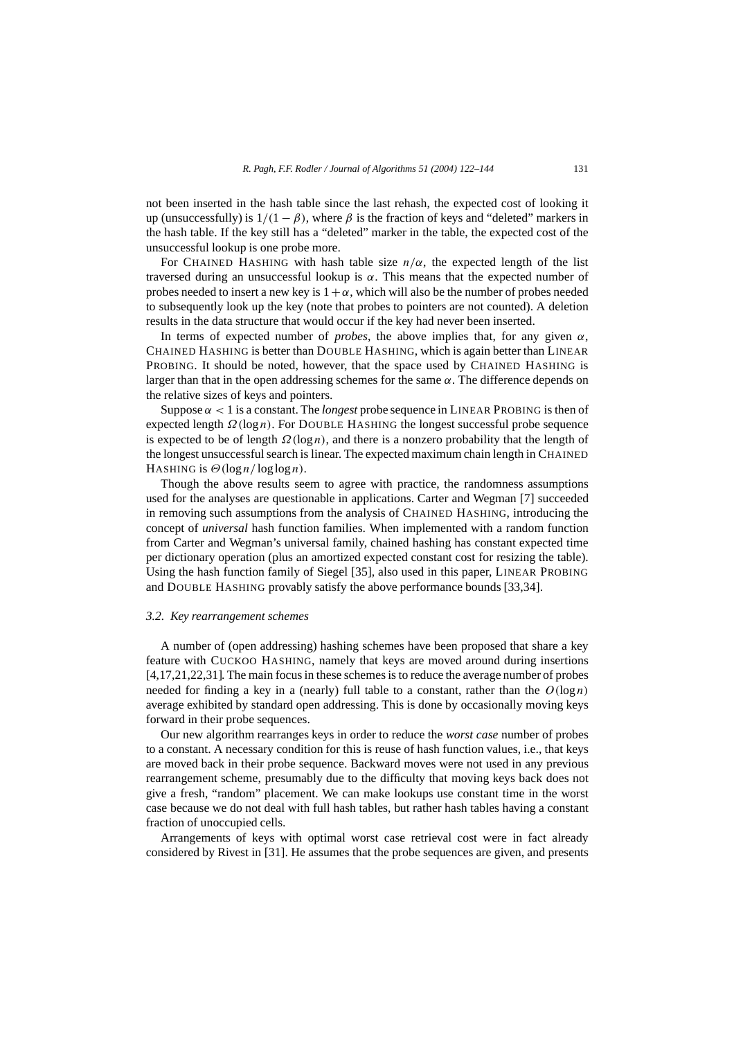not been inserted in the hash table since the last rehash, the expected cost of looking it up (unsuccessfully) is  $1/(1 - \beta)$ , where  $\beta$  is the fraction of keys and "deleted" markers in the hash table. If the key still has a "deleted" marker in the table, the expected cost of the unsuccessful lookup is one probe more.

For CHAINED HASHING with hash table size  $n/\alpha$ , the expected length of the list traversed during an unsuccessful lookup is *α*. This means that the expected number of probes needed to insert a new key is  $1+\alpha$ , which will also be the number of probes needed to subsequently look up the key (note that probes to pointers are not counted). A deletion results in the data structure that would occur if the key had never been inserted.

In terms of expected number of *probes*, the above implies that, for any given  $\alpha$ , CHAINED HASHING is better than DOUBLE HASHING, which is again better than LINEAR PROBING. It should be noted, however, that the space used by CHAINED HASHING is larger than that in the open addressing schemes for the same *α*. The difference depends on the relative sizes of keys and pointers.

Suppose  $\alpha$  < 1 is a constant. The *longest* probe sequence in LINEAR PROBING is then of expected length *Ω(*log*n)*. For DOUBLE HASHING the longest successful probe sequence is expected to be of length *Ω(*log*n)*, and there is a nonzero probability that the length of the longest unsuccessful search is linear. The expected maximum chain length in CHAINED HASHING is  $\Theta(\log n / \log \log n)$ .

Though the above results seem to agree with practice, the randomness assumptions used for the analyses are questionable in applications. Carter and Wegman [7] succeeded in removing such assumptions from the analysis of CHAINED HASHING, introducing the concept of *universal* hash function families. When implemented with a random function from Carter and Wegman's universal family, chained hashing has constant expected time per dictionary operation (plus an amortized expected constant cost for resizing the table). Using the hash function family of Siegel [35], also used in this paper, LINEAR PROBING and DOUBLE HASHING provably satisfy the above performance bounds [33,34].

#### *3.2. Key rearrangement schemes*

A number of (open addressing) hashing schemes have been proposed that share a key feature with CUCKOO HASHING, namely that keys are moved around during insertions [4,17,21,22,31]. The main focus in these schemes is to reduce the average number of probes needed for finding a key in a (nearly) full table to a constant, rather than the  $O(log n)$ average exhibited by standard open addressing. This is done by occasionally moving keys forward in their probe sequences.

Our new algorithm rearranges keys in order to reduce the *worst case* number of probes to a constant. A necessary condition for this is reuse of hash function values, i.e., that keys are moved back in their probe sequence. Backward moves were not used in any previous rearrangement scheme, presumably due to the difficulty that moving keys back does not give a fresh, "random" placement. We can make lookups use constant time in the worst case because we do not deal with full hash tables, but rather hash tables having a constant fraction of unoccupied cells.

Arrangements of keys with optimal worst case retrieval cost were in fact already considered by Rivest in [31]. He assumes that the probe sequences are given, and presents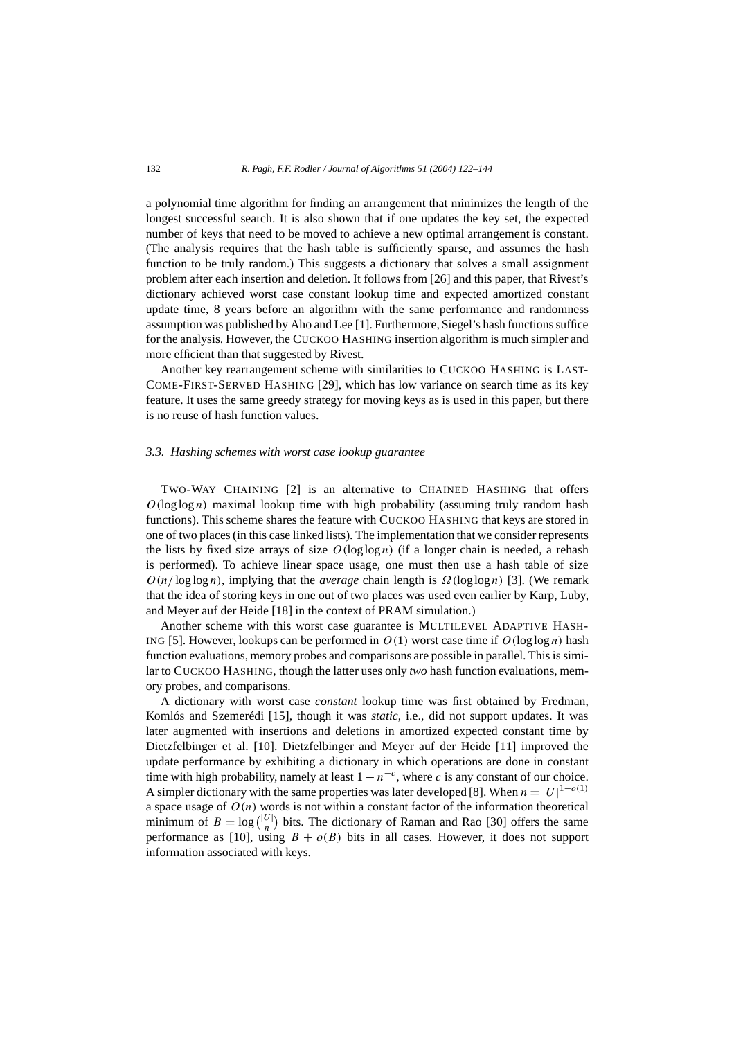#### 132 *R. Pagh, F.F. Rodler / Journal of Algorithms 51 (2004) 122–144*

a polynomial time algorithm for finding an arrangement that minimizes the length of the longest successful search. It is also shown that if one updates the key set, the expected number of keys that need to be moved to achieve a new optimal arrangement is constant. (The analysis requires that the hash table is sufficiently sparse, and assumes the hash function to be truly random.) This suggests a dictionary that solves a small assignment problem after each insertion and deletion. It follows from [26] and this paper, that Rivest's dictionary achieved worst case constant lookup time and expected amortized constant update time, 8 years before an algorithm with the same performance and randomness assumption was published by Aho and Lee [1]. Furthermore, Siegel's hash functions suffice for the analysis. However, the CUCKOO HASHING insertion algorithm is much simpler and more efficient than that suggested by Rivest.

Another key rearrangement scheme with similarities to CUCKOO HASHING is LAST-COME-FIRST-SERVED HASHING [29], which has low variance on search time as its key feature. It uses the same greedy strategy for moving keys as is used in this paper, but there is no reuse of hash function values.

#### *3.3. Hashing schemes with worst case lookup guarantee*

TWO-WAY CHAINING [2] is an alternative to CHAINED HASHING that offers  $O(log log n)$  maximal lookup time with high probability (assuming truly random hash functions). This scheme shares the feature with CUCKOO HASHING that keys are stored in one of two places (in this case linked lists). The implementation that we consider represents the lists by fixed size arrays of size  $O(log \log n)$  (if a longer chain is needed, a rehash is performed). To achieve linear space usage, one must then use a hash table of size  $O(n/\log\log n)$ , implying that the *average* chain length is  $\Omega(\log\log n)$  [3]. (We remark that the idea of storing keys in one out of two places was used even earlier by Karp, Luby, and Meyer auf der Heide [18] in the context of PRAM simulation.)

Another scheme with this worst case guarantee is MULTILEVEL ADAPTIVE HASH-ING [5]. However, lookups can be performed in  $O(1)$  worst case time if  $O(\log \log n)$  hash function evaluations, memory probes and comparisons are possible in parallel. This is similar to CUCKOO HASHING, though the latter uses only *two* hash function evaluations, memory probes, and comparisons.

A dictionary with worst case *constant* lookup time was first obtained by Fredman, Komlós and Szemerédi [15], though it was *static*, i.e., did not support updates. It was later augmented with insertions and deletions in amortized expected constant time by Dietzfelbinger et al. [10]. Dietzfelbinger and Meyer auf der Heide [11] improved the update performance by exhibiting a dictionary in which operations are done in constant time with high probability, namely at least  $1 - n^{-c}$ , where *c* is any constant of our choice. A simpler dictionary with the same properties was later developed [8]. When  $n = |U|^{1-o(1)}$ a space usage of  $O(n)$  words is not within a constant factor of the information theoretical minimum of  $B = \log \binom{|U|}{n}$  $\binom{U}{n}$  bits. The dictionary of Raman and Rao [30] offers the same performance as [10], using  $B + o(B)$  bits in all cases. However, it does not support information associated with keys.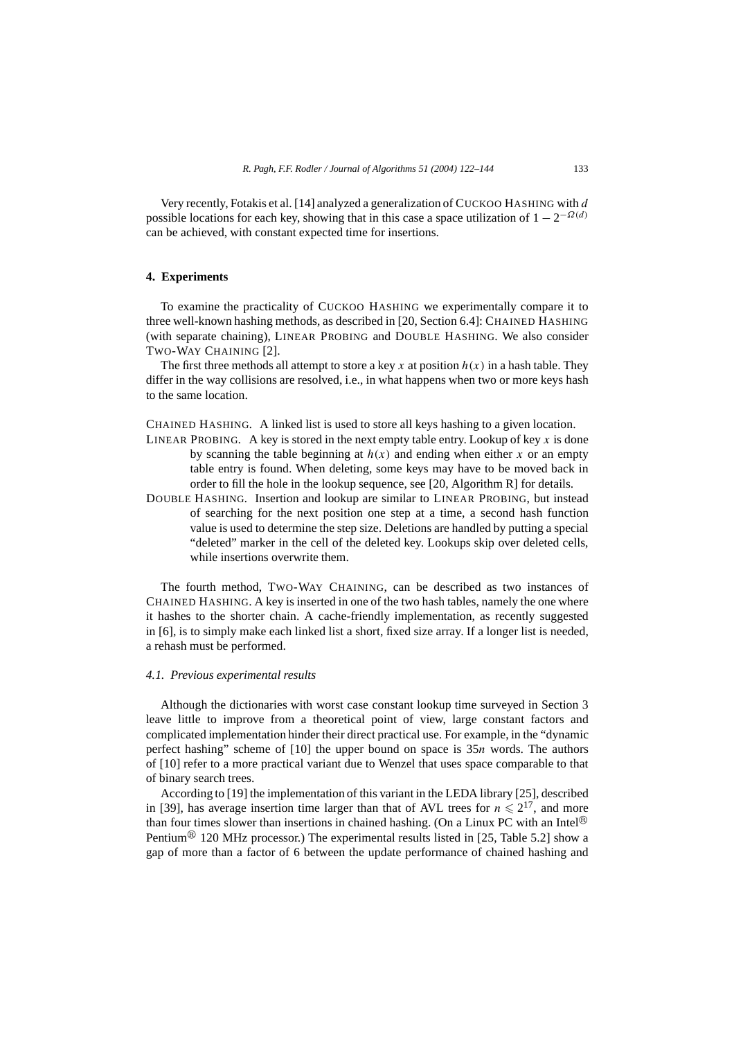Very recently, Fotakis et al. [14] analyzed a generalization of CUCKOO HASHING with *d* possible locations for each key, showing that in this case a space utilization of  $1 - 2^{-\Omega(d)}$ can be achieved, with constant expected time for insertions.

# **4. Experiments**

To examine the practicality of CUCKOO HASHING we experimentally compare it to three well-known hashing methods, as described in [20, Section 6.4]: CHAINED HASHING (with separate chaining), LINEAR PROBING and DOUBLE HASHING. We also consider TWO-WAY CHAINING [2].

The first three methods all attempt to store a key x at position  $h(x)$  in a hash table. They differ in the way collisions are resolved, i.e., in what happens when two or more keys hash to the same location.

CHAINED HASHING*.* A linked list is used to store all keys hashing to a given location.

- LINEAR PROBING. A key is stored in the next empty table entry. Lookup of key  $x$  is done by scanning the table beginning at  $h(x)$  and ending when either x or an empty table entry is found. When deleting, some keys may have to be moved back in order to fill the hole in the lookup sequence, see [20, Algorithm R] for details.
- DOUBLE HASHING*.* Insertion and lookup are similar to LINEAR PROBING, but instead of searching for the next position one step at a time, a second hash function value is used to determine the step size. Deletions are handled by putting a special "deleted" marker in the cell of the deleted key. Lookups skip over deleted cells, while insertions overwrite them.

The fourth method, TWO-WAY CHAINING, can be described as two instances of CHAINED HASHING. A key is inserted in one of the two hash tables, namely the one where it hashes to the shorter chain. A cache-friendly implementation, as recently suggested in [6], is to simply make each linked list a short, fixed size array. If a longer list is needed, a rehash must be performed.

# *4.1. Previous experimental results*

Although the dictionaries with worst case constant lookup time surveyed in Section 3 leave little to improve from a theoretical point of view, large constant factors and complicated implementation hinder their direct practical use. For example, in the "dynamic perfect hashing" scheme of [10] the upper bound on space is 35*n* words. The authors of [10] refer to a more practical variant due to Wenzel that uses space comparable to that of binary search trees.

According to [19] the implementation of this variant in the LEDA library [25], described in [39], has average insertion time larger than that of AVL trees for  $n \le 2^{17}$ , and more than four times slower than insertions in chained hashing. (On a Linux PC with an Intel<sup>®</sup> Pentium<sup>®</sup> 120 MHz processor.) The experimental results listed in [25, Table 5.2] show a gap of more than a factor of 6 between the update performance of chained hashing and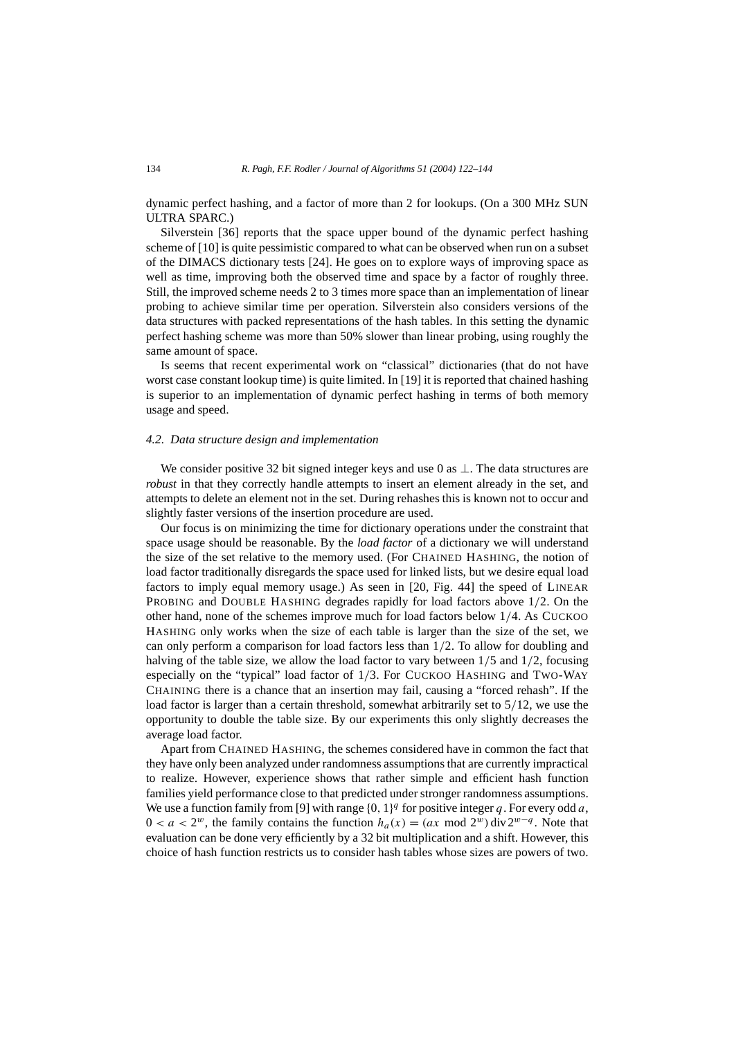dynamic perfect hashing, and a factor of more than 2 for lookups. (On a 300 MHz SUN ULTRA SPARC.)

Silverstein [36] reports that the space upper bound of the dynamic perfect hashing scheme of [10] is quite pessimistic compared to what can be observed when run on a subset of the DIMACS dictionary tests [24]. He goes on to explore ways of improving space as well as time, improving both the observed time and space by a factor of roughly three. Still, the improved scheme needs 2 to 3 times more space than an implementation of linear probing to achieve similar time per operation. Silverstein also considers versions of the data structures with packed representations of the hash tables. In this setting the dynamic perfect hashing scheme was more than 50% slower than linear probing, using roughly the same amount of space.

Is seems that recent experimental work on "classical" dictionaries (that do not have worst case constant lookup time) is quite limited. In [19] it is reported that chained hashing is superior to an implementation of dynamic perfect hashing in terms of both memory usage and speed.

#### *4.2. Data structure design and implementation*

We consider positive 32 bit signed integer keys and use 0 as ⊥. The data structures are *robust* in that they correctly handle attempts to insert an element already in the set, and attempts to delete an element not in the set. During rehashes this is known not to occur and slightly faster versions of the insertion procedure are used.

Our focus is on minimizing the time for dictionary operations under the constraint that space usage should be reasonable. By the *load factor* of a dictionary we will understand the size of the set relative to the memory used. (For CHAINED HASHING, the notion of load factor traditionally disregards the space used for linked lists, but we desire equal load factors to imply equal memory usage.) As seen in [20, Fig. 44] the speed of LINEAR PROBING and DOUBLE HASHING degrades rapidly for load factors above 1*/*2. On the other hand, none of the schemes improve much for load factors below 1*/*4. As CUCKOO HASHING only works when the size of each table is larger than the size of the set, we can only perform a comparison for load factors less than 1*/*2. To allow for doubling and halving of the table size, we allow the load factor to vary between 1*/*5 and 1*/*2, focusing especially on the "typical" load factor of 1*/*3. For CUCKOO HASHING and TWO-WAY CHAINING there is a chance that an insertion may fail, causing a "forced rehash". If the load factor is larger than a certain threshold, somewhat arbitrarily set to 5*/*12, we use the opportunity to double the table size. By our experiments this only slightly decreases the average load factor.

Apart from CHAINED HASHING, the schemes considered have in common the fact that they have only been analyzed under randomness assumptions that are currently impractical to realize. However, experience shows that rather simple and efficient hash function families yield performance close to that predicted under stronger randomness assumptions. We use a function family from [9] with range  $\{0, 1\}^q$  for positive integer q. For every odd a,  $0 < a < 2^w$ , the family contains the function  $h_a(x) = (ax \mod 2^w) \text{ div } 2^{w-q}$ . Note that evaluation can be done very efficiently by a 32 bit multiplication and a shift. However, this choice of hash function restricts us to consider hash tables whose sizes are powers of two.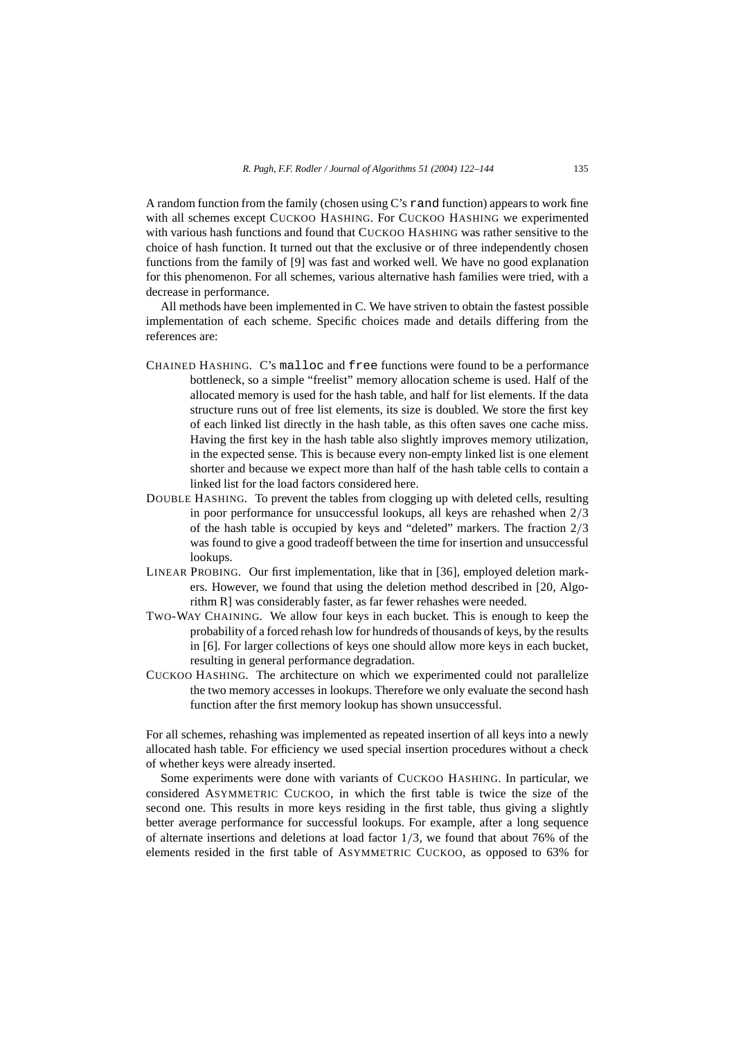A random function from the family (chosen using C's rand function) appears to work fine with all schemes except CUCKOO HASHING. For CUCKOO HASHING we experimented with various hash functions and found that CUCKOO HASHING was rather sensitive to the choice of hash function. It turned out that the exclusive or of three independently chosen functions from the family of [9] was fast and worked well. We have no good explanation for this phenomenon. For all schemes, various alternative hash families were tried, with a decrease in performance.

All methods have been implemented in C. We have striven to obtain the fastest possible implementation of each scheme. Specific choices made and details differing from the references are:

- CHAINED HASHING*.* C's malloc and free functions were found to be a performance bottleneck, so a simple "freelist" memory allocation scheme is used. Half of the allocated memory is used for the hash table, and half for list elements. If the data structure runs out of free list elements, its size is doubled. We store the first key of each linked list directly in the hash table, as this often saves one cache miss. Having the first key in the hash table also slightly improves memory utilization, in the expected sense. This is because every non-empty linked list is one element shorter and because we expect more than half of the hash table cells to contain a linked list for the load factors considered here.
- DOUBLE HASHING*.* To prevent the tables from clogging up with deleted cells, resulting in poor performance for unsuccessful lookups, all keys are rehashed when 2*/*3 of the hash table is occupied by keys and "deleted" markers. The fraction 2*/*3 was found to give a good tradeoff between the time for insertion and unsuccessful lookups.
- LINEAR PROBING*.* Our first implementation, like that in [36], employed deletion markers. However, we found that using the deletion method described in [20, Algorithm R] was considerably faster, as far fewer rehashes were needed.
- TWO-WAY CHAINING*.* We allow four keys in each bucket. This is enough to keep the probability of a forced rehash low for hundreds of thousands of keys, by the results in [6]. For larger collections of keys one should allow more keys in each bucket, resulting in general performance degradation.
- CUCKOO HASHING*.* The architecture on which we experimented could not parallelize the two memory accesses in lookups. Therefore we only evaluate the second hash function after the first memory lookup has shown unsuccessful.

For all schemes, rehashing was implemented as repeated insertion of all keys into a newly allocated hash table. For efficiency we used special insertion procedures without a check of whether keys were already inserted.

Some experiments were done with variants of CUCKOO HASHING. In particular, we considered ASYMMETRIC CUCKOO, in which the first table is twice the size of the second one. This results in more keys residing in the first table, thus giving a slightly better average performance for successful lookups. For example, after a long sequence of alternate insertions and deletions at load factor 1*/*3, we found that about 76% of the elements resided in the first table of ASYMMETRIC CUCKOO, as opposed to 63% for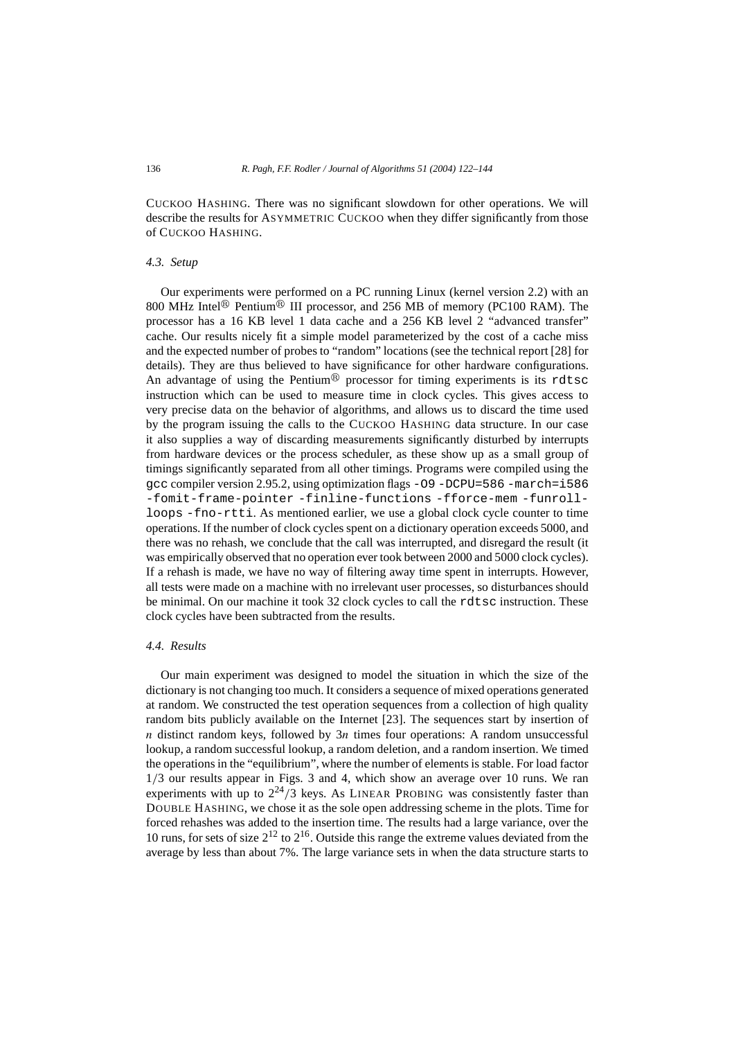CUCKOO HASHING. There was no significant slowdown for other operations. We will describe the results for ASYMMETRIC CUCKOO when they differ significantly from those of CUCKOO HASHING.

# *4.3. Setup*

Our experiments were performed on a PC running Linux (kernel version 2.2) with an 800 MHz Intel<sup>®</sup> Pentium<sup>®</sup> III processor, and 256 MB of memory (PC100 RAM). The processor has a 16 KB level 1 data cache and a 256 KB level 2 "advanced transfer" cache. Our results nicely fit a simple model parameterized by the cost of a cache miss and the expected number of probes to "random" locations (see the technical report [28] for details). They are thus believed to have significance for other hardware configurations. An advantage of using the Pentium<sup>®</sup> processor for timing experiments is its rdtsc instruction which can be used to measure time in clock cycles. This gives access to very precise data on the behavior of algorithms, and allows us to discard the time used by the program issuing the calls to the CUCKOO HASHING data structure. In our case it also supplies a way of discarding measurements significantly disturbed by interrupts from hardware devices or the process scheduler, as these show up as a small group of timings significantly separated from all other timings. Programs were compiled using the gcc compiler version 2.95.2, using optimization flags -O9 -DCPU=586 -march=i586 -fomit-frame-pointer -finline-functions -fforce-mem -funrollloops -fno-rtti. As mentioned earlier, we use a global clock cycle counter to time operations. If the number of clock cycles spent on a dictionary operation exceeds 5000, and there was no rehash, we conclude that the call was interrupted, and disregard the result (it was empirically observed that no operation ever took between 2000 and 5000 clock cycles). If a rehash is made, we have no way of filtering away time spent in interrupts. However, all tests were made on a machine with no irrelevant user processes, so disturbances should be minimal. On our machine it took 32 clock cycles to call the rdtsc instruction. These clock cycles have been subtracted from the results.

#### *4.4. Results*

Our main experiment was designed to model the situation in which the size of the dictionary is not changing too much. It considers a sequence of mixed operations generated at random. We constructed the test operation sequences from a collection of high quality random bits publicly available on the Internet [23]. The sequences start by insertion of *n* distinct random keys, followed by 3*n* times four operations: A random unsuccessful lookup, a random successful lookup, a random deletion, and a random insertion. We timed the operations in the "equilibrium", where the number of elements is stable. For load factor 1*/*3 our results appear in Figs. 3 and 4, which show an average over 10 runs. We ran experiments with up to  $2^{24}/3$  keys. As LINEAR PROBING was consistently faster than DOUBLE HASHING, we chose it as the sole open addressing scheme in the plots. Time for forced rehashes was added to the insertion time. The results had a large variance, over the 10 runs, for sets of size  $2^{12}$  to  $2^{16}$ . Outside this range the extreme values deviated from the average by less than about 7%. The large variance sets in when the data structure starts to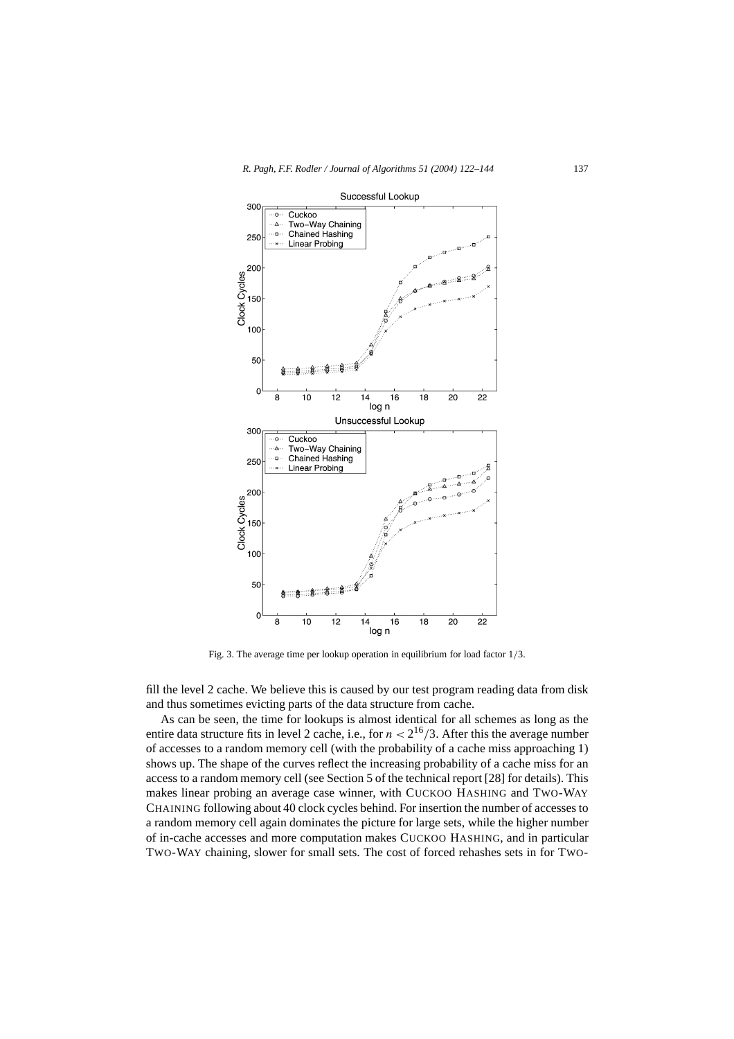

Fig. 3. The average time per lookup operation in equilibrium for load factor 1*/*3.

fill the level 2 cache. We believe this is caused by our test program reading data from disk and thus sometimes evicting parts of the data structure from cache.

As can be seen, the time for lookups is almost identical for all schemes as long as the entire data structure fits in level 2 cache, i.e., for  $n < 2^{16}/3$ . After this the average number of accesses to a random memory cell (with the probability of a cache miss approaching 1) shows up. The shape of the curves reflect the increasing probability of a cache miss for an access to a random memory cell (see Section 5 of the technical report [28] for details). This makes linear probing an average case winner, with CUCKOO HASHING and TWO-WAY CHAINING following about 40 clock cycles behind. For insertion the number of accesses to a random memory cell again dominates the picture for large sets, while the higher number of in-cache accesses and more computation makes CUCKOO HASHING, and in particular TWO-WAY chaining, slower for small sets. The cost of forced rehashes sets in for TWO-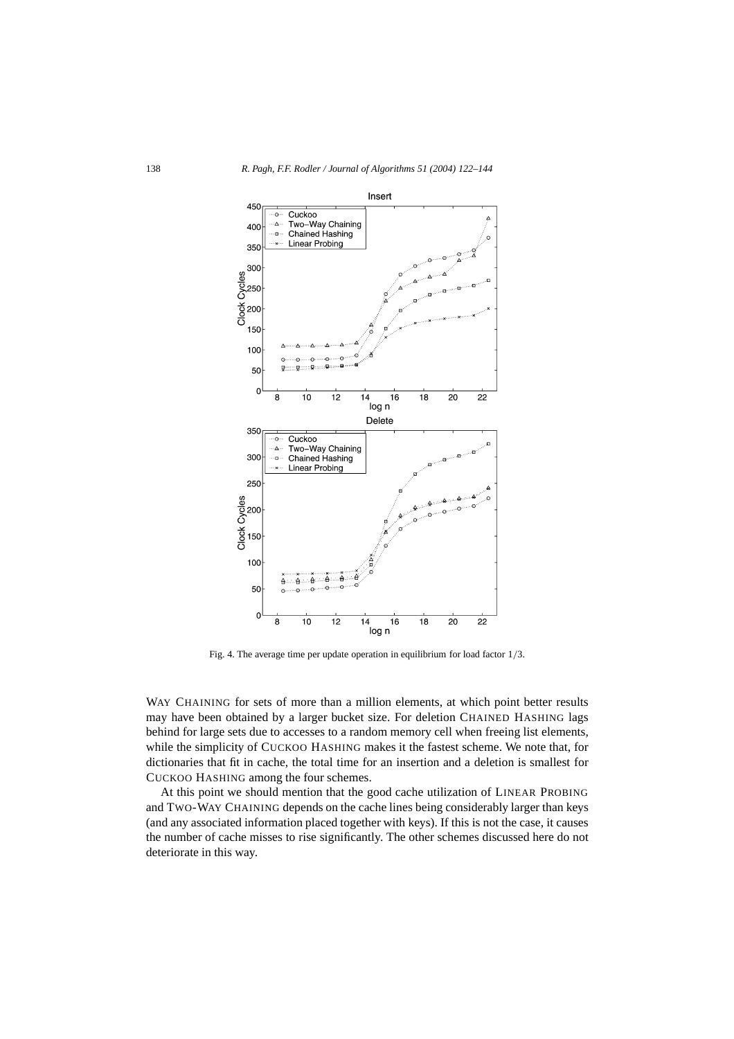

Fig. 4. The average time per update operation in equilibrium for load factor 1*/*3.

WAY CHAINING for sets of more than a million elements, at which point better results may have been obtained by a larger bucket size. For deletion CHAINED HASHING lags behind for large sets due to accesses to a random memory cell when freeing list elements, while the simplicity of CUCKOO HASHING makes it the fastest scheme. We note that, for dictionaries that fit in cache, the total time for an insertion and a deletion is smallest for CUCKOO HASHING among the four schemes.

At this point we should mention that the good cache utilization of LINEAR PROBING and TWO-WAY CHAINING depends on the cache lines being considerably larger than keys (and any associated information placed together with keys). If this is not the case, it causes the number of cache misses to rise significantly. The other schemes discussed here do not deteriorate in this way.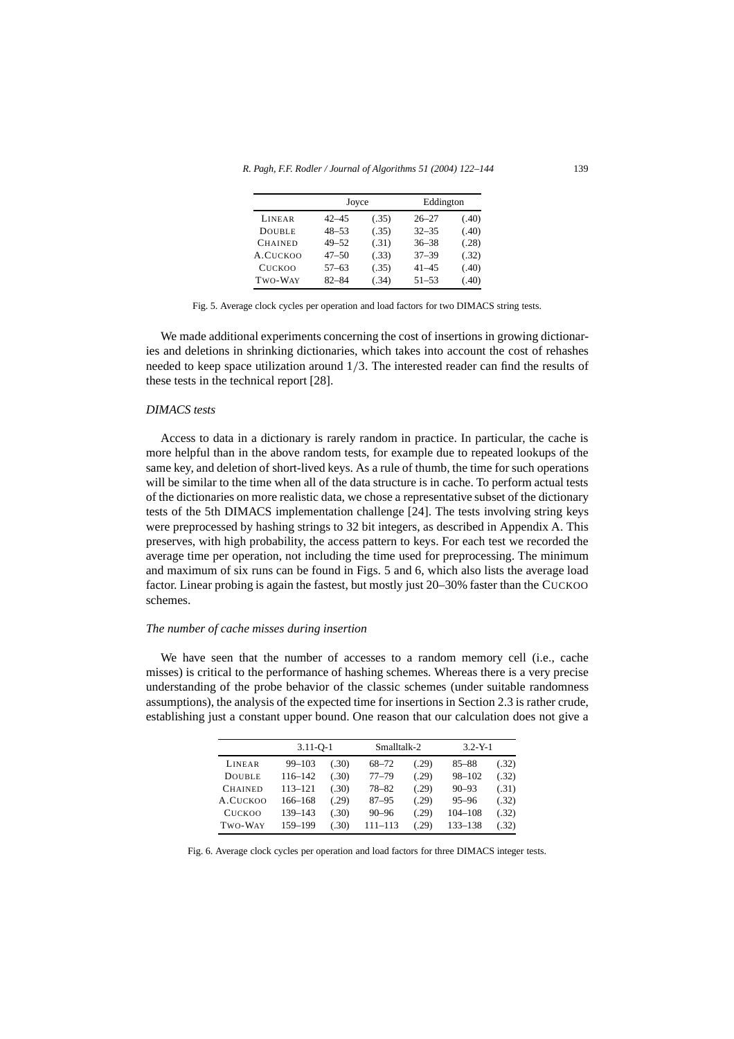|                | Joyce     |       | Eddington |       |  |
|----------------|-----------|-------|-----------|-------|--|
| <b>LINEAR</b>  | $42 - 45$ | (.35) | $26 - 27$ | (.40) |  |
| <b>DOUBLE</b>  | $48 - 53$ | (.35) | $32 - 35$ | (.40) |  |
| <b>CHAINED</b> | $49 - 52$ | (.31) | $36 - 38$ | (.28) |  |
| A.CUCKOO       | $47 - 50$ | (.33) | $37 - 39$ | (.32) |  |
| <b>CUCKOO</b>  | $57 - 63$ | (.35) | $41 - 45$ | (.40) |  |
| TWO-WAY        | $82 - 84$ | (.34) | $51 - 53$ | (.40) |  |
|                |           |       |           |       |  |

Fig. 5. Average clock cycles per operation and load factors for two DIMACS string tests.

We made additional experiments concerning the cost of insertions in growing dictionaries and deletions in shrinking dictionaries, which takes into account the cost of rehashes needed to keep space utilization around 1*/*3. The interested reader can find the results of these tests in the technical report [28].

# *DIMACS tests*

Access to data in a dictionary is rarely random in practice. In particular, the cache is more helpful than in the above random tests, for example due to repeated lookups of the same key, and deletion of short-lived keys. As a rule of thumb, the time for such operations will be similar to the time when all of the data structure is in cache. To perform actual tests of the dictionaries on more realistic data, we chose a representative subset of the dictionary tests of the 5th DIMACS implementation challenge [24]. The tests involving string keys were preprocessed by hashing strings to 32 bit integers, as described in Appendix A. This preserves, with high probability, the access pattern to keys. For each test we recorded the average time per operation, not including the time used for preprocessing. The minimum and maximum of six runs can be found in Figs. 5 and 6, which also lists the average load factor. Linear probing is again the fastest, but mostly just 20–30% faster than the CUCKOO schemes.

# *The number of cache misses during insertion*

We have seen that the number of accesses to a random memory cell (i.e., cache misses) is critical to the performance of hashing schemes. Whereas there is a very precise understanding of the probe behavior of the classic schemes (under suitable randomness assumptions), the analysis of the expected time for insertions in Section 2.3 is rather crude, establishing just a constant upper bound. One reason that our calculation does not give a

|                | $3.11 - 0 - 1$ |       | Smalltalk-2 |       | $3.2 - Y - 1$ |       |
|----------------|----------------|-------|-------------|-------|---------------|-------|
| LINEAR         | $99 - 103$     | (.30) | $68 - 72$   | (.29) | $85 - 88$     | (.32) |
| <b>DOUBLE</b>  | 116-142        | (.30) | $77 - 79$   | (.29) | $98 - 102$    | (.32) |
| <b>CHAINED</b> | 113-121        | (.30) | $78 - 82$   | (.29) | $90 - 93$     | (.31) |
| A.CUCKOO       | 166-168        | (.29) | $87 - 95$   | (.29) | $95 - 96$     | (.32) |
| <b>CUCKOO</b>  | 139-143        | (.30) | $90 - 96$   | (.29) | $104 - 108$   | (.32) |
| TWO-WAY        | 159-199        | (.30) | $111 - 113$ | (.29) | 133-138       | (.32) |

Fig. 6. Average clock cycles per operation and load factors for three DIMACS integer tests.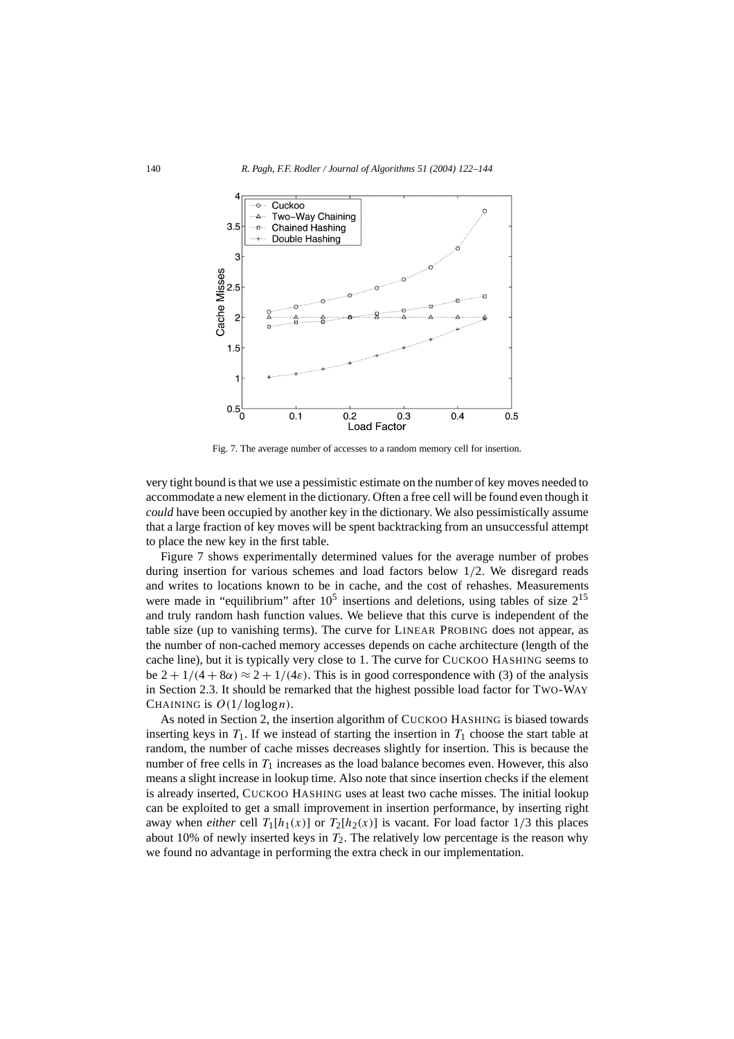

Fig. 7. The average number of accesses to a random memory cell for insertion.

very tight bound is that we use a pessimistic estimate on the number of key moves needed to accommodate a new element in the dictionary. Often a free cell will be found even though it *could* have been occupied by another key in the dictionary. We also pessimistically assume that a large fraction of key moves will be spent backtracking from an unsuccessful attempt to place the new key in the first table.

Figure 7 shows experimentally determined values for the average number of probes during insertion for various schemes and load factors below 1*/*2. We disregard reads and writes to locations known to be in cache, and the cost of rehashes. Measurements were made in "equilibrium" after  $10^5$  insertions and deletions, using tables of size  $2^{15}$ and truly random hash function values. We believe that this curve is independent of the table size (up to vanishing terms). The curve for LINEAR PROBING does not appear, as the number of non-cached memory accesses depends on cache architecture (length of the cache line), but it is typically very close to 1. The curve for CUCKOO HASHING seems to be  $2 + 1/(4 + 8\alpha) \approx 2 + 1/(4\varepsilon)$ . This is in good correspondence with (3) of the analysis in Section 2.3. It should be remarked that the highest possible load factor for TWO-WAY CHAINING is  $O(1/\log \log n)$ .

As noted in Section 2, the insertion algorithm of CUCKOO HASHING is biased towards inserting keys in  $T_1$ . If we instead of starting the insertion in  $T_1$  choose the start table at random, the number of cache misses decreases slightly for insertion. This is because the number of free cells in  $T_1$  increases as the load balance becomes even. However, this also means a slight increase in lookup time. Also note that since insertion checks if the element is already inserted, CUCKOO HASHING uses at least two cache misses. The initial lookup can be exploited to get a small improvement in insertion performance, by inserting right away when *either* cell  $T_1[h_1(x)]$  or  $T_2[h_2(x)]$  is vacant. For load factor 1/3 this places about 10% of newly inserted keys in  $T_2$ . The relatively low percentage is the reason why we found no advantage in performing the extra check in our implementation.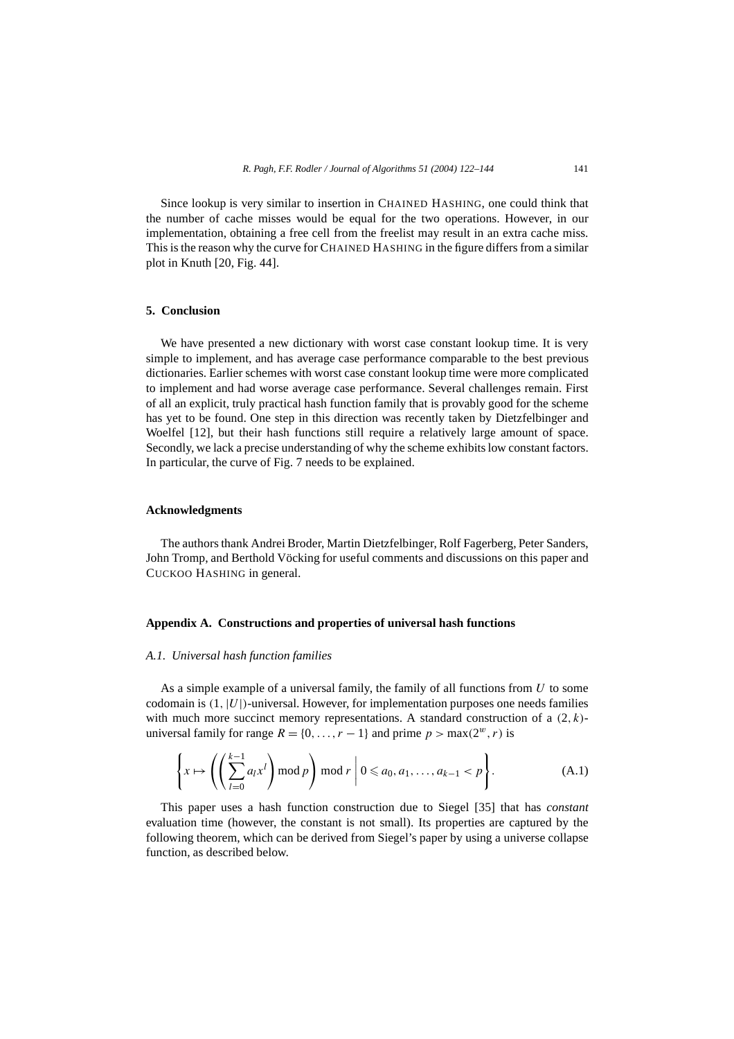Since lookup is very similar to insertion in CHAINED HASHING, one could think that the number of cache misses would be equal for the two operations. However, in our implementation, obtaining a free cell from the freelist may result in an extra cache miss. This is the reason why the curve for CHAINED HASHING in the figure differs from a similar plot in Knuth [20, Fig. 44].

#### **5. Conclusion**

We have presented a new dictionary with worst case constant lookup time. It is very simple to implement, and has average case performance comparable to the best previous dictionaries. Earlier schemes with worst case constant lookup time were more complicated to implement and had worse average case performance. Several challenges remain. First of all an explicit, truly practical hash function family that is provably good for the scheme has yet to be found. One step in this direction was recently taken by Dietzfelbinger and Woelfel [12], but their hash functions still require a relatively large amount of space. Secondly, we lack a precise understanding of why the scheme exhibits low constant factors. In particular, the curve of Fig. 7 needs to be explained.

#### **Acknowledgments**

The authors thank Andrei Broder, Martin Dietzfelbinger, Rolf Fagerberg, Peter Sanders, John Tromp, and Berthold Vöcking for useful comments and discussions on this paper and CUCKOO HASHING in general.

#### **Appendix A. Constructions and properties of universal hash functions**

# *A.1. Universal hash function families*

As a simple example of a universal family, the family of all functions from *U* to some codomain is *(*1*,*|*U*|*)*-universal. However, for implementation purposes one needs families with much more succinct memory representations. A standard construction of a *(*2*,k)* universal family for range  $R = \{0, \ldots, r - 1\}$  and prime  $p > \max(2^w, r)$  is

$$
\left\{ x \mapsto \left( \left( \sum_{l=0}^{k-1} a_l x^l \right) \bmod p \right) \bmod r \middle| 0 \leq a_0, a_1, \dots, a_{k-1} < p \right\}.
$$
\n(A.1)

This paper uses a hash function construction due to Siegel [35] that has *constant* evaluation time (however, the constant is not small). Its properties are captured by the following theorem, which can be derived from Siegel's paper by using a universe collapse function, as described below.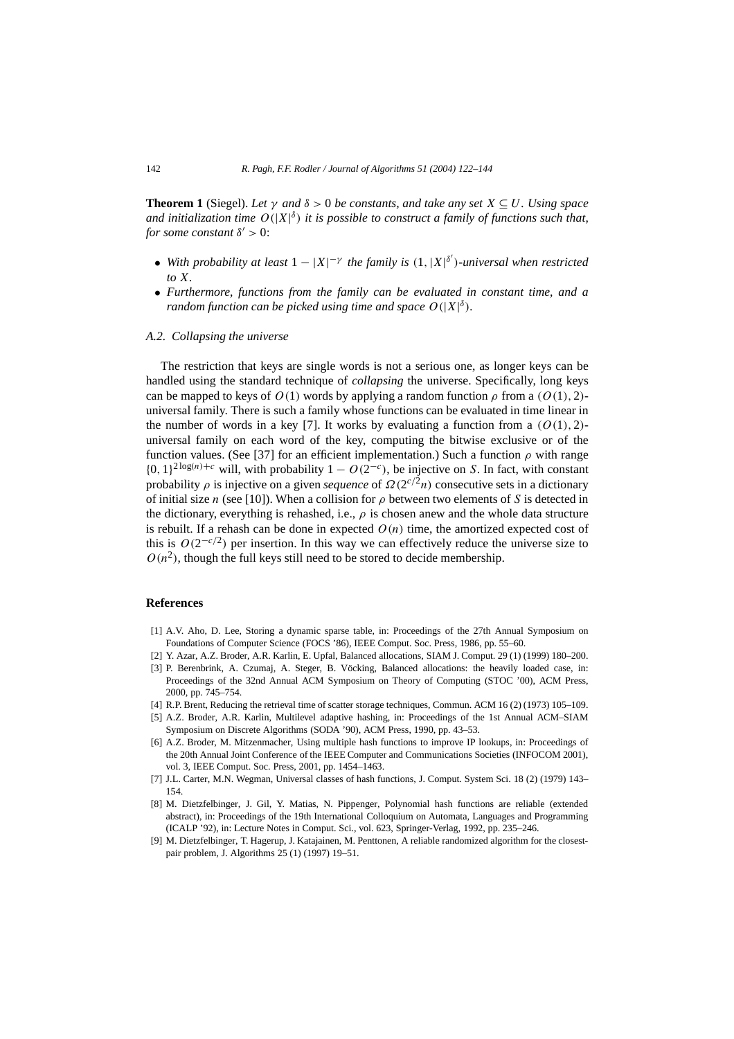**Theorem 1** (Siegel). Let  $\gamma$  and  $\delta > 0$  be constants, and take any set  $X \subseteq U$ . Using space *and initialization time O(*|*X*| *<sup>δ</sup> ) it is possible to construct a family of functions such that, for some constant*  $\delta' > 0$ :

- *With probability at least*  $1 |X|^{-\gamma}$  *the family is*  $(1, |X|^{\delta'})$ *-universal when restricted to X.*
- *Furthermore, functions from the family can be evaluated in constant time, and a random function can be picked using time and space*  $O(|X|^{\delta})$ *.*

#### *A.2. Collapsing the universe*

The restriction that keys are single words is not a serious one, as longer keys can be handled using the standard technique of *collapsing* the universe. Specifically, long keys can be mapped to keys of  $O(1)$  words by applying a random function  $\rho$  from a  $(O(1), 2)$ universal family. There is such a family whose functions can be evaluated in time linear in the number of words in a key [7]. It works by evaluating a function from a  $(O(1), 2)$ universal family on each word of the key, computing the bitwise exclusive or of the function values. (See [37] for an efficient implementation.) Such a function  $\rho$  with range  ${0, 1}^{2 \log(n) + c}$  will, with probability  $1 - O(2^{-c})$ , be injective on *S*. In fact, with constant probability  $\rho$  is injective on a given *sequence* of  $\Omega(2^{c/2}n)$  consecutive sets in a dictionary of initial size *n* (see [10]). When a collision for  $\rho$  between two elements of *S* is detected in the dictionary, everything is rehashed, i.e., *ρ* is chosen anew and the whole data structure is rebuilt. If a rehash can be done in expected  $O(n)$  time, the amortized expected cost of this is  $O(2^{-c/2})$  per insertion. In this way we can effectively reduce the universe size to  $O(n^2)$ , though the full keys still need to be stored to decide membership.

#### **References**

- [1] A.V. Aho, D. Lee, Storing a dynamic sparse table, in: Proceedings of the 27th Annual Symposium on Foundations of Computer Science (FOCS '86), IEEE Comput. Soc. Press, 1986, pp. 55–60.
- [2] Y. Azar, A.Z. Broder, A.R. Karlin, E. Upfal, Balanced allocations, SIAM J. Comput. 29 (1) (1999) 180–200.
- [3] P. Berenbrink, A. Czumaj, A. Steger, B. Vöcking, Balanced allocations: the heavily loaded case, in: Proceedings of the 32nd Annual ACM Symposium on Theory of Computing (STOC '00), ACM Press, 2000, pp. 745–754.
- [4] R.P. Brent, Reducing the retrieval time of scatter storage techniques, Commun. ACM 16 (2) (1973) 105–109.
- [5] A.Z. Broder, A.R. Karlin, Multilevel adaptive hashing, in: Proceedings of the 1st Annual ACM–SIAM Symposium on Discrete Algorithms (SODA '90), ACM Press, 1990, pp. 43–53.
- [6] A.Z. Broder, M. Mitzenmacher, Using multiple hash functions to improve IP lookups, in: Proceedings of the 20th Annual Joint Conference of the IEEE Computer and Communications Societies (INFOCOM 2001), vol. 3, IEEE Comput. Soc. Press, 2001, pp. 1454–1463.
- [7] J.L. Carter, M.N. Wegman, Universal classes of hash functions, J. Comput. System Sci. 18 (2) (1979) 143– 154.
- [8] M. Dietzfelbinger, J. Gil, Y. Matias, N. Pippenger, Polynomial hash functions are reliable (extended abstract), in: Proceedings of the 19th International Colloquium on Automata, Languages and Programming (ICALP '92), in: Lecture Notes in Comput. Sci., vol. 623, Springer-Verlag, 1992, pp. 235–246.
- [9] M. Dietzfelbinger, T. Hagerup, J. Katajainen, M. Penttonen, A reliable randomized algorithm for the closestpair problem, J. Algorithms 25 (1) (1997) 19–51.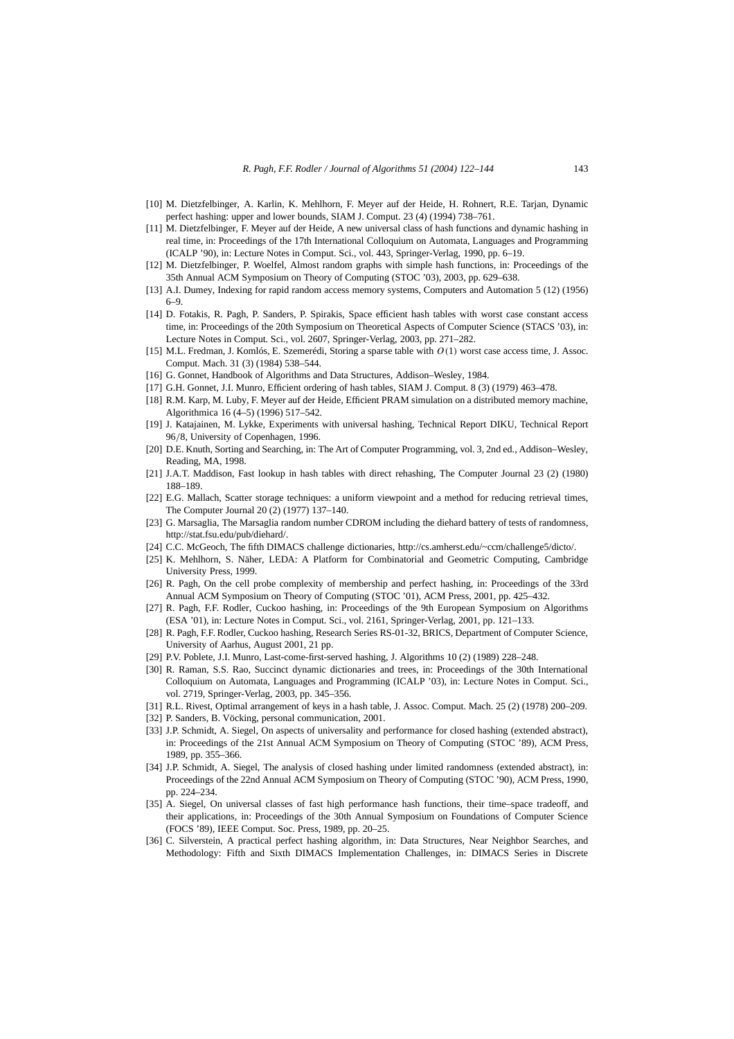- [10] M. Dietzfelbinger, A. Karlin, K. Mehlhorn, F. Meyer auf der Heide, H. Rohnert, R.E. Tarjan, Dynamic perfect hashing: upper and lower bounds, SIAM J. Comput. 23 (4) (1994) 738–761.
- [11] M. Dietzfelbinger, F. Meyer auf der Heide, A new universal class of hash functions and dynamic hashing in real time, in: Proceedings of the 17th International Colloquium on Automata, Languages and Programming (ICALP '90), in: Lecture Notes in Comput. Sci., vol. 443, Springer-Verlag, 1990, pp. 6–19.
- [12] M. Dietzfelbinger, P. Woelfel, Almost random graphs with simple hash functions, in: Proceedings of the 35th Annual ACM Symposium on Theory of Computing (STOC '03), 2003, pp. 629–638.
- [13] A.I. Dumey, Indexing for rapid random access memory systems, Computers and Automation 5 (12) (1956) 6–9.
- [14] D. Fotakis, R. Pagh, P. Sanders, P. Spirakis, Space efficient hash tables with worst case constant access time, in: Proceedings of the 20th Symposium on Theoretical Aspects of Computer Science (STACS '03), in: Lecture Notes in Comput. Sci., vol. 2607, Springer-Verlag, 2003, pp. 271–282.
- [15] M.L. Fredman, J. Komlós, E. Szemerédi, Storing a sparse table with *O(*1*)* worst case access time, J. Assoc. Comput. Mach. 31 (3) (1984) 538–544.
- [16] G. Gonnet, Handbook of Algorithms and Data Structures, Addison-Wesley, 1984.
- [17] G.H. Gonnet, J.I. Munro, Efficient ordering of hash tables, SIAM J. Comput. 8 (3) (1979) 463–478.
- [18] R.M. Karp, M. Luby, F. Meyer auf der Heide, Efficient PRAM simulation on a distributed memory machine, Algorithmica 16 (4–5) (1996) 517–542.
- [19] J. Katajainen, M. Lykke, Experiments with universal hashing, Technical Report DIKU, Technical Report 96*/*8, University of Copenhagen, 1996.
- [20] D.E. Knuth, Sorting and Searching, in: The Art of Computer Programming, vol. 3, 2nd ed., Addison–Wesley, Reading, MA, 1998.
- [21] J.A.T. Maddison, Fast lookup in hash tables with direct rehashing, The Computer Journal 23 (2) (1980) 188–189.
- [22] E.G. Mallach, Scatter storage techniques: a uniform viewpoint and a method for reducing retrieval times, The Computer Journal 20 (2) (1977) 137–140.
- [23] G. Marsaglia, The Marsaglia random number CDROM including the diehard battery of tests of randomness, http://stat.fsu.edu/pub/diehard/.
- [24] C.C. McGeoch, The fifth DIMACS challenge dictionaries, http://cs.amherst.edu/~ccm/challenge5/dicto/.
- [25] K. Mehlhorn, S. Näher, LEDA: A Platform for Combinatorial and Geometric Computing, Cambridge University Press, 1999.
- [26] R. Pagh, On the cell probe complexity of membership and perfect hashing, in: Proceedings of the 33rd Annual ACM Symposium on Theory of Computing (STOC '01), ACM Press, 2001, pp. 425–432.
- [27] R. Pagh, F.F. Rodler, Cuckoo hashing, in: Proceedings of the 9th European Symposium on Algorithms (ESA '01), in: Lecture Notes in Comput. Sci., vol. 2161, Springer-Verlag, 2001, pp. 121–133.
- [28] R. Pagh, F.F. Rodler, Cuckoo hashing, Research Series RS-01-32, BRICS, Department of Computer Science, University of Aarhus, August 2001, 21 pp.
- [29] P.V. Poblete, J.I. Munro, Last-come-first-served hashing, J. Algorithms 10 (2) (1989) 228-248.
- [30] R. Raman, S.S. Rao, Succinct dynamic dictionaries and trees, in: Proceedings of the 30th International Colloquium on Automata, Languages and Programming (ICALP '03), in: Lecture Notes in Comput. Sci., vol. 2719, Springer-Verlag, 2003, pp. 345–356.
- [31] R.L. Rivest, Optimal arrangement of keys in a hash table, J. Assoc. Comput. Mach. 25 (2) (1978) 200–209.
- [32] P. Sanders, B. Vöcking, personal communication, 2001.
- [33] J.P. Schmidt, A. Siegel, On aspects of universality and performance for closed hashing (extended abstract), in: Proceedings of the 21st Annual ACM Symposium on Theory of Computing (STOC '89), ACM Press, 1989, pp. 355–366.
- [34] J.P. Schmidt, A. Siegel, The analysis of closed hashing under limited randomness (extended abstract), in: Proceedings of the 22nd Annual ACM Symposium on Theory of Computing (STOC '90), ACM Press, 1990, pp. 224–234.
- [35] A. Siegel, On universal classes of fast high performance hash functions, their time-space tradeoff, and their applications, in: Proceedings of the 30th Annual Symposium on Foundations of Computer Science (FOCS '89), IEEE Comput. Soc. Press, 1989, pp. 20–25.
- [36] C. Silverstein, A practical perfect hashing algorithm, in: Data Structures, Near Neighbor Searches, and Methodology: Fifth and Sixth DIMACS Implementation Challenges, in: DIMACS Series in Discrete